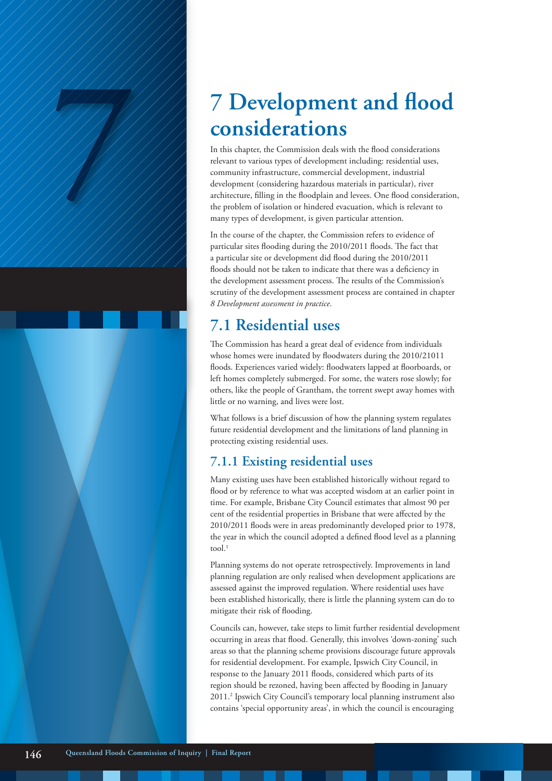# **considerations**

**7 7 Development and flood**  In this chapter, the Commission deals with the flood considerations relevant to various types of development including: residential uses, community infrastructure, commercial development, industrial development (considering hazardous materials in particular), river architecture, filling in the floodplain and levees. One flood consideration, the problem of isolation or hindered evacuation, which is relevant to many types of development, is given particular attention.

In the course of the chapter, the Commission refers to evidence of particular sites flooding during the 2010/2011 floods. The fact that a particular site or development did flood during the 2010/2011 floods should not be taken to indicate that there was a deficiency in the development assessment process. The results of the Commission's scrutiny of the development assessment process are contained in chapter *8 Development assessment in practice*.

# **7.1 Residential uses**

The Commission has heard a great deal of evidence from individuals whose homes were inundated by floodwaters during the 2010/21011 floods. Experiences varied widely: floodwaters lapped at floorboards, or left homes completely submerged. For some, the waters rose slowly; for others, like the people of Grantham, the torrent swept away homes with little or no warning, and lives were lost.

What follows is a brief discussion of how the planning system regulates future residential development and the limitations of land planning in protecting existing residential uses.

### **7.1.1 Existing residential uses**

Many existing uses have been established historically without regard to flood or by reference to what was accepted wisdom at an earlier point in time. For example, Brisbane City Council estimates that almost 90 per cent of the residential properties in Brisbane that were affected by the 2010/2011 floods were in areas predominantly developed prior to 1978, the year in which the council adopted a defined flood level as a planning tool. $^{1}$ 

Planning systems do not operate retrospectively. Improvements in land planning regulation are only realised when development applications are assessed against the improved regulation. Where residential uses have been established historically, there is little the planning system can do to mitigate their risk of flooding.

Councils can, however, take steps to limit further residential development occurring in areas that flood. Generally, this involves 'down-zoning' such areas so that the planning scheme provisions discourage future approvals for residential development. For example, Ipswich City Council, in response to the January 2011 floods, considered which parts of its region should be rezoned, having been affected by flooding in January 2011.2 Ipswich City Council's temporary local planning instrument also contains 'special opportunity areas', in which the council is encouraging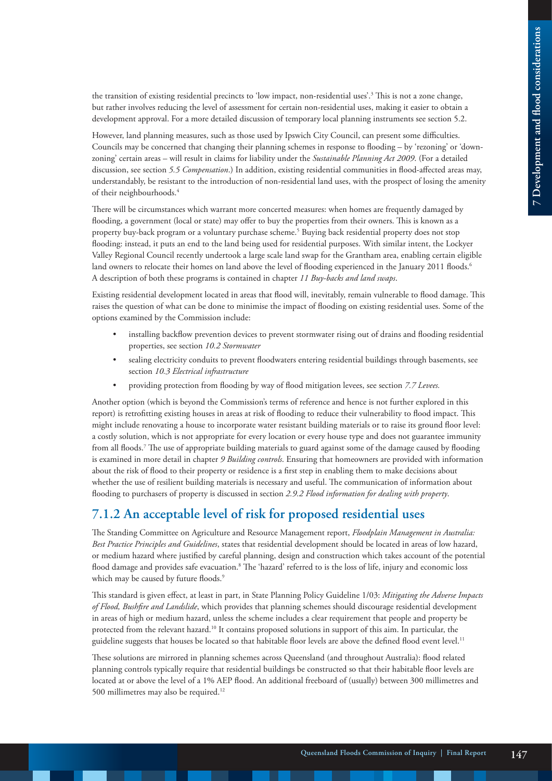the transition of existing residential precincts to 'low impact, non-residential uses'.<sup>3</sup> This is not a zone change, but rather involves reducing the level of assessment for certain non-residential uses, making it easier to obtain a development approval. For a more detailed discussion of temporary local planning instruments see section 5.2.

However, land planning measures, such as those used by Ipswich City Council, can present some difficulties. Councils may be concerned that changing their planning schemes in response to flooding – by 'rezoning' or 'downzoning' certain areas – will result in claims for liability under the *Sustainable Planning Act 2009*. (For a detailed discussion, see section *5.5 Compensation*.) In addition, existing residential communities in flood-affected areas may, understandably, be resistant to the introduction of non-residential land uses, with the prospect of losing the amenity of their neighbourhoods.4

There will be circumstances which warrant more concerted measures: when homes are frequently damaged by flooding, a government (local or state) may offer to buy the properties from their owners. This is known as a property buy-back program or a voluntary purchase scheme.<sup>5</sup> Buying back residential property does not stop flooding: instead, it puts an end to the land being used for residential purposes. With similar intent, the Lockyer Valley Regional Council recently undertook a large scale land swap for the Grantham area, enabling certain eligible land owners to relocate their homes on land above the level of flooding experienced in the January 2011 floods.<sup>6</sup> A description of both these programs is contained in chapter *11 Buy-backs and land swaps*.

Existing residential development located in areas that flood will, inevitably, remain vulnerable to flood damage. This raises the question of what can be done to minimise the impact of flooding on existing residential uses. Some of the options examined by the Commission include:

- installing backflow prevention devices to prevent stormwater rising out of drains and flooding residential properties, see section *10.2 Stormwater*
- sealing electricity conduits to prevent floodwaters entering residential buildings through basements, see section *10.3 Electrical infrastructure*
- providing protection from flooding by way of flood mitigation levees, see section *7.7 Levees.*

Another option (which is beyond the Commission's terms of reference and hence is not further explored in this report) is retrofitting existing houses in areas at risk of flooding to reduce their vulnerability to flood impact. This might include renovating a house to incorporate water resistant building materials or to raise its ground floor level: a costly solution, which is not appropriate for every location or every house type and does not guarantee immunity from all floods.7 The use of appropriate building materials to guard against some of the damage caused by flooding is examined in more detail in chapter *9 Building controls*. Ensuring that homeowners are provided with information about the risk of flood to their property or residence is a first step in enabling them to make decisions about whether the use of resilient building materials is necessary and useful. The communication of information about flooding to purchasers of property is discussed in section *2.9.2 Flood information for dealing with property*.

### **7.1.2 An acceptable level of risk for proposed residential uses**

The Standing Committee on Agriculture and Resource Management report, *Floodplain Management in Australia: Best Practice Principles and Guidelines*, states that residential development should be located in areas of low hazard, or medium hazard where justified by careful planning, design and construction which takes account of the potential flood damage and provides safe evacuation.<sup>8</sup> The 'hazard' referred to is the loss of life, injury and economic loss which may be caused by future floods.<sup>9</sup>

This standard is given effect, at least in part, in State Planning Policy Guideline 1/03: *Mitigating the Adverse Impacts of Flood, Bushfire and Landslide*, which provides that planning schemes should discourage residential development in areas of high or medium hazard, unless the scheme includes a clear requirement that people and property be protected from the relevant hazard.10 It contains proposed solutions in support of this aim. In particular, the guideline suggests that houses be located so that habitable floor levels are above the defined flood event level.<sup>11</sup>

These solutions are mirrored in planning schemes across Queensland (and throughout Australia): flood related planning controls typically require that residential buildings be constructed so that their habitable floor levels are located at or above the level of a 1% AEP flood. An additional freeboard of (usually) between 300 millimetres and 500 millimetres may also be required.12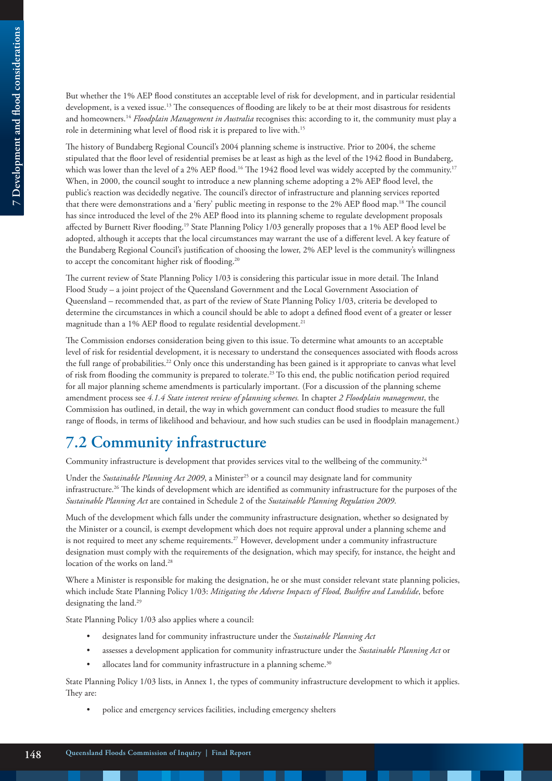But whether the 1% AEP flood constitutes an acceptable level of risk for development, and in particular residential development, is a vexed issue.13 The consequences of flooding are likely to be at their most disastrous for residents and homeowners.14 *Floodplain Management in Australia* recognises this: according to it, the community must play a role in determining what level of flood risk it is prepared to live with.15

The history of Bundaberg Regional Council's 2004 planning scheme is instructive. Prior to 2004, the scheme stipulated that the floor level of residential premises be at least as high as the level of the 1942 flood in Bundaberg, which was lower than the level of a 2% AEP flood.<sup>16</sup> The 1942 flood level was widely accepted by the community.<sup>17</sup> When, in 2000, the council sought to introduce a new planning scheme adopting a 2% AEP flood level, the public's reaction was decidedly negative. The council's director of infrastructure and planning services reported that there were demonstrations and a 'fiery' public meeting in response to the 2% AEP flood map.18 The council has since introduced the level of the 2% AEP flood into its planning scheme to regulate development proposals affected by Burnett River flooding.19 State Planning Policy 1/03 generally proposes that a 1% AEP flood level be adopted, although it accepts that the local circumstances may warrant the use of a different level. A key feature of the Bundaberg Regional Council's justification of choosing the lower, 2% AEP level is the community's willingness to accept the concomitant higher risk of flooding.<sup>20</sup>

The current review of State Planning Policy 1/03 is considering this particular issue in more detail. The Inland Flood Study – a joint project of the Queensland Government and the Local Government Association of Queensland – recommended that, as part of the review of State Planning Policy 1/03, criteria be developed to determine the circumstances in which a council should be able to adopt a defined flood event of a greater or lesser magnitude than a 1% AEP flood to regulate residential development.<sup>21</sup>

The Commission endorses consideration being given to this issue. To determine what amounts to an acceptable level of risk for residential development, it is necessary to understand the consequences associated with floods across the full range of probabilities.22 Only once this understanding has been gained is it appropriate to canvas what level of risk from flooding the community is prepared to tolerate.23 To this end, the public notification period required for all major planning scheme amendments is particularly important. (For a discussion of the planning scheme amendment process see *4.1.4 State interest review of planning schemes.* In chapter *2 Floodplain management*, the Commission has outlined, in detail, the way in which government can conduct flood studies to measure the full range of floods, in terms of likelihood and behaviour, and how such studies can be used in floodplain management.)

# **7.2 Community infrastructure**

Community infrastructure is development that provides services vital to the wellbeing of the community.<sup>24</sup>

Under the *Sustainable Planning Act 2009*, a Minister<sup>25</sup> or a council may designate land for community infrastructure.26 The kinds of development which are identified as community infrastructure for the purposes of the *Sustainable Planning Act* are contained in Schedule 2 of the *Sustainable Planning Regulation 2009*.

Much of the development which falls under the community infrastructure designation, whether so designated by the Minister or a council, is exempt development which does not require approval under a planning scheme and is not required to meet any scheme requirements.<sup>27</sup> However, development under a community infrastructure designation must comply with the requirements of the designation, which may specify, for instance, the height and location of the works on land.<sup>28</sup>

Where a Minister is responsible for making the designation, he or she must consider relevant state planning policies, which include State Planning Policy 1/03: *Mitigating the Adverse Impacts of Flood, Bushfire and Landslide*, before designating the land.<sup>29</sup>

State Planning Policy 1/03 also applies where a council:

- designates land for community infrastructure under the *Sustainable Planning Act*
- assesses a development application for community infrastructure under the *Sustainable Planning Act* or
- allocates land for community infrastructure in a planning scheme.<sup>30</sup>

State Planning Policy 1/03 lists, in Annex 1, the types of community infrastructure development to which it applies. They are:

• police and emergency services facilities, including emergency shelters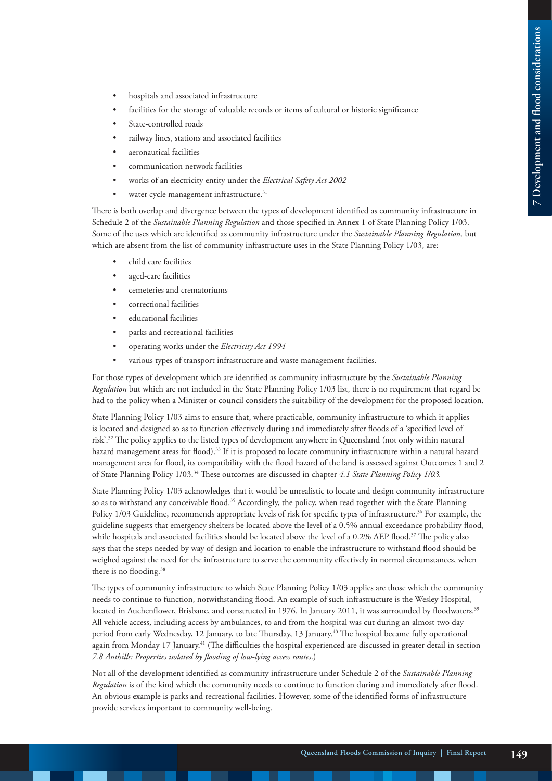- hospitals and associated infrastructure
- facilities for the storage of valuable records or items of cultural or historic significance
- State-controlled roads
- railway lines, stations and associated facilities
- aeronautical facilities
- communication network facilities
- works of an electricity entity under the *Electrical Safety Act 2002*
- water cycle management infrastructure.<sup>31</sup>

There is both overlap and divergence between the types of development identified as community infrastructure in Schedule 2 of the *Sustainable Planning Regulation* and those specified in Annex 1 of State Planning Policy 1/03. Some of the uses which are identified as community infrastructure under the *Sustainable Planning Regulation,* but which are absent from the list of community infrastructure uses in the State Planning Policy 1/03, are:

- child care facilities
- aged-care facilities
- cemeteries and crematoriums
- correctional facilities
- educational facilities
- parks and recreational facilities
- operating works under the *Electricity Act 1994*
- various types of transport infrastructure and waste management facilities.

For those types of development which are identified as community infrastructure by the *Sustainable Planning Regulation* but which are not included in the State Planning Policy 1/03 list, there is no requirement that regard be had to the policy when a Minister or council considers the suitability of the development for the proposed location.

State Planning Policy 1/03 aims to ensure that, where practicable, community infrastructure to which it applies is located and designed so as to function effectively during and immediately after floods of a 'specified level of risk'.32 The policy applies to the listed types of development anywhere in Queensland (not only within natural hazard management areas for flood).<sup>33</sup> If it is proposed to locate community infrastructure within a natural hazard management area for flood, its compatibility with the flood hazard of the land is assessed against Outcomes 1 and 2 of State Planning Policy 1/03.34 These outcomes are discussed in chapter *4.1 State Planning Policy 1/03.*

State Planning Policy 1/03 acknowledges that it would be unrealistic to locate and design community infrastructure so as to withstand any conceivable flood.<sup>35</sup> Accordingly, the policy, when read together with the State Planning Policy 1/03 Guideline, recommends appropriate levels of risk for specific types of infrastructure.<sup>36</sup> For example, the guideline suggests that emergency shelters be located above the level of a 0.5% annual exceedance probability flood, while hospitals and associated facilities should be located above the level of a 0.2% AEP flood.<sup>37</sup> The policy also says that the steps needed by way of design and location to enable the infrastructure to withstand flood should be weighed against the need for the infrastructure to serve the community effectively in normal circumstances, when there is no flooding.<sup>38</sup>

The types of community infrastructure to which State Planning Policy 1/03 applies are those which the community needs to continue to function, notwithstanding flood. An example of such infrastructure is the Wesley Hospital, located in Auchenflower, Brisbane, and constructed in 1976. In January 2011, it was surrounded by floodwaters.<sup>39</sup> All vehicle access, including access by ambulances, to and from the hospital was cut during an almost two day period from early Wednesday, 12 January, to late Thursday, 13 January.<sup>40</sup> The hospital became fully operational again from Monday 17 January.<sup>41</sup> (The difficulties the hospital experienced are discussed in greater detail in section *7.8 Anthills: Properties isolated by flooding of low-lying access routes*.)

Not all of the development identified as community infrastructure under Schedule 2 of the *Sustainable Planning Regulation* is of the kind which the community needs to continue to function during and immediately after flood. An obvious example is parks and recreational facilities. However, some of the identified forms of infrastructure provide services important to community well-being.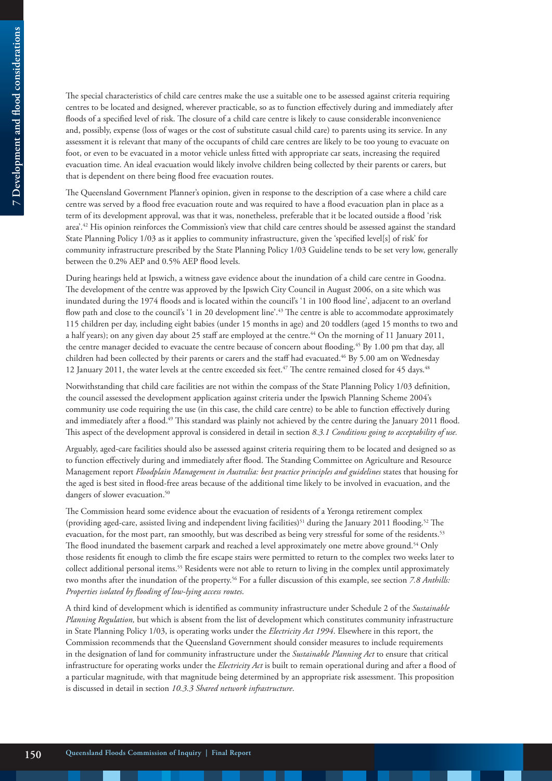The special characteristics of child care centres make the use a suitable one to be assessed against criteria requiring centres to be located and designed, wherever practicable, so as to function effectively during and immediately after floods of a specified level of risk. The closure of a child care centre is likely to cause considerable inconvenience and, possibly, expense (loss of wages or the cost of substitute casual child care) to parents using its service. In any assessment it is relevant that many of the occupants of child care centres are likely to be too young to evacuate on foot, or even to be evacuated in a motor vehicle unless fitted with appropriate car seats, increasing the required evacuation time. An ideal evacuation would likely involve children being collected by their parents or carers, but that is dependent on there being flood free evacuation routes.

The Queensland Government Planner's opinion, given in response to the description of a case where a child care centre was served by a flood free evacuation route and was required to have a flood evacuation plan in place as a term of its development approval, was that it was, nonetheless, preferable that it be located outside a flood 'risk area'.42 His opinion reinforces the Commission's view that child care centres should be assessed against the standard State Planning Policy 1/03 as it applies to community infrastructure, given the 'specified level[s] of risk' for community infrastructure prescribed by the State Planning Policy 1/03 Guideline tends to be set very low, generally between the 0.2% AEP and 0.5% AEP flood levels.

During hearings held at Ipswich, a witness gave evidence about the inundation of a child care centre in Goodna. The development of the centre was approved by the Ipswich City Council in August 2006, on a site which was inundated during the 1974 floods and is located within the council's '1 in 100 flood line', adjacent to an overland flow path and close to the council's '1 in 20 development line'.<sup>43</sup> The centre is able to accommodate approximately 115 children per day, including eight babies (under 15 months in age) and 20 toddlers (aged 15 months to two and a half years); on any given day about 25 staff are employed at the centre.44 On the morning of 11 January 2011, the centre manager decided to evacuate the centre because of concern about flooding.<sup>45</sup> By 1.00 pm that day, all children had been collected by their parents or carers and the staff had evacuated.46 By 5.00 am on Wednesday 12 January 2011, the water levels at the centre exceeded six feet.<sup>47</sup> The centre remained closed for 45 days.<sup>48</sup>

Notwithstanding that child care facilities are not within the compass of the State Planning Policy 1/03 definition, the council assessed the development application against criteria under the Ipswich Planning Scheme 2004's community use code requiring the use (in this case, the child care centre) to be able to function effectively during and immediately after a flood.<sup>49</sup> This standard was plainly not achieved by the centre during the January 2011 flood. This aspect of the development approval is considered in detail in section *8.3.1 Conditions going to acceptability of use.*

Arguably, aged-care facilities should also be assessed against criteria requiring them to be located and designed so as to function effectively during and immediately after flood. The Standing Committee on Agriculture and Resource Management report *Floodplain Management in Australia: best practice principles and guidelines* states that housing for the aged is best sited in flood-free areas because of the additional time likely to be involved in evacuation, and the dangers of slower evacuation.<sup>50</sup>

The Commission heard some evidence about the evacuation of residents of a Yeronga retirement complex (providing aged-care, assisted living and independent living facilities)<sup>51</sup> during the January 2011 flooding.<sup>52</sup> The evacuation, for the most part, ran smoothly, but was described as being very stressful for some of the residents.53 The flood inundated the basement carpark and reached a level approximately one metre above ground.<sup>54</sup> Only those residents fit enough to climb the fire escape stairs were permitted to return to the complex two weeks later to collect additional personal items.55 Residents were not able to return to living in the complex until approximately two months after the inundation of the property.56 For a fuller discussion of this example, see section *7.8 Anthills: Properties isolated by flooding of low-lying access routes*.

A third kind of development which is identified as community infrastructure under Schedule 2 of the *Sustainable Planning Regulation,* but which is absent from the list of development which constitutes community infrastructure in State Planning Policy 1/03, is operating works under the *Electricity Act 1994*. Elsewhere in this report, the Commission recommends that the Queensland Government should consider measures to include requirements in the designation of land for community infrastructure under the *Sustainable Planning Act* to ensure that critical infrastructure for operating works under the *Electricity Act* is built to remain operational during and after a flood of a particular magnitude, with that magnitude being determined by an appropriate risk assessment. This proposition is discussed in detail in section *10.3.3 Shared network infrastructure*.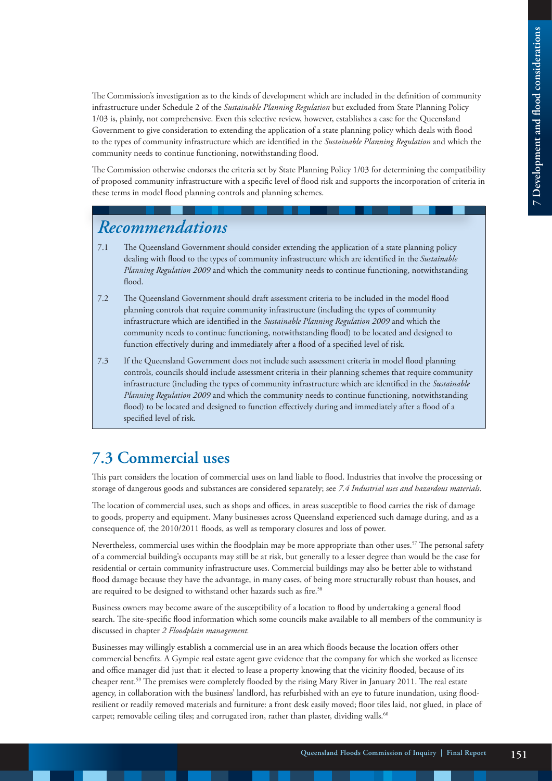The Commission's investigation as to the kinds of development which are included in the definition of community infrastructure under Schedule 2 of the *Sustainable Planning Regulation* but excluded from State Planning Policy 1/03 is, plainly, not comprehensive. Even this selective review, however, establishes a case for the Queensland Government to give consideration to extending the application of a state planning policy which deals with flood to the types of community infrastructure which are identified in the *Sustainable Planning Regulation* and which the community needs to continue functioning, notwithstanding flood.

The Commission otherwise endorses the criteria set by State Planning Policy 1/03 for determining the compatibility of proposed community infrastructure with a specific level of flood risk and supports the incorporation of criteria in these terms in model flood planning controls and planning schemes.

# *Recommendations*

- 7.1 The Queensland Government should consider extending the application of a state planning policy dealing with flood to the types of community infrastructure which are identified in the *Sustainable Planning Regulation 2009* and which the community needs to continue functioning, notwithstanding flood.
- 7.2 The Queensland Government should draft assessment criteria to be included in the model flood planning controls that require community infrastructure (including the types of community infrastructure which are identified in the *Sustainable Planning Regulation 2009* and which the community needs to continue functioning, notwithstanding flood) to be located and designed to function effectively during and immediately after a flood of a specified level of risk.
- 7.3 If the Queensland Government does not include such assessment criteria in model flood planning controls, councils should include assessment criteria in their planning schemes that require community infrastructure (including the types of community infrastructure which are identified in the *Sustainable Planning Regulation 2009* and which the community needs to continue functioning, notwithstanding flood) to be located and designed to function effectively during and immediately after a flood of a specified level of risk.

# **7.3 Commercial uses**

This part considers the location of commercial uses on land liable to flood. Industries that involve the processing or storage of dangerous goods and substances are considered separately; see *7.4 Industrial uses and hazardous materials*.

The location of commercial uses, such as shops and offices, in areas susceptible to flood carries the risk of damage to goods, property and equipment. Many businesses across Queensland experienced such damage during, and as a consequence of, the 2010/2011 floods, as well as temporary closures and loss of power.

Nevertheless, commercial uses within the floodplain may be more appropriate than other uses.<sup>57</sup> The personal safety of a commercial building's occupants may still be at risk, but generally to a lesser degree than would be the case for residential or certain community infrastructure uses. Commercial buildings may also be better able to withstand flood damage because they have the advantage, in many cases, of being more structurally robust than houses, and are required to be designed to withstand other hazards such as fire.<sup>58</sup>

Business owners may become aware of the susceptibility of a location to flood by undertaking a general flood search. The site-specific flood information which some councils make available to all members of the community is discussed in chapter *2 Floodplain management.*

Businesses may willingly establish a commercial use in an area which floods because the location offers other commercial benefits. A Gympie real estate agent gave evidence that the company for which she worked as licensee and office manager did just that: it elected to lease a property knowing that the vicinity flooded, because of its cheaper rent.59 The premises were completely flooded by the rising Mary River in January 2011. The real estate agency, in collaboration with the business' landlord, has refurbished with an eye to future inundation, using floodresilient or readily removed materials and furniture: a front desk easily moved; floor tiles laid, not glued, in place of carpet; removable ceiling tiles; and corrugated iron, rather than plaster, dividing walls.<sup>60</sup>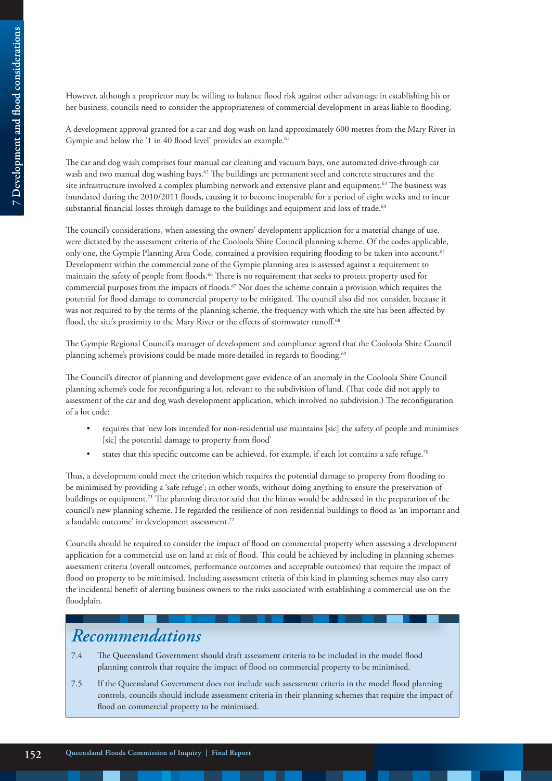However, although a proprietor may be willing to balance flood risk against other advantage in establishing his or her business, councils need to consider the appropriateness of commercial development in areas liable to flooding.

A development approval granted for a car and dog wash on land approximately 600 metres from the Mary River in Gympie and below the '1 in 40 flood level' provides an example.<sup>61</sup>

The car and dog wash comprises four manual car cleaning and vacuum bays, one automated drive-through car wash and two manual dog washing bays.<sup>62</sup> The buildings are permanent steel and concrete structures and the site infrastructure involved a complex plumbing network and extensive plant and equipment.<sup>63</sup> The business was inundated during the 2010/2011 floods, causing it to become inoperable for a period of eight weeks and to incur substantial financial losses through damage to the buildings and equipment and loss of trade.<sup>64</sup>

The council's considerations, when assessing the owners' development application for a material change of use, were dictated by the assessment criteria of the Cooloola Shire Council planning scheme. Of the codes applicable, only one, the Gympie Planning Area Code, contained a provision requiring flooding to be taken into account.<sup>65</sup> Development within the commercial zone of the Gympie planning area is assessed against a requirement to maintain the safety of people from floods.66 There is no requirement that seeks to protect property used for commercial purposes from the impacts of floods.67 Nor does the scheme contain a provision which requires the potential for flood damage to commercial property to be mitigated. The council also did not consider, because it was not required to by the terms of the planning scheme, the frequency with which the site has been affected by flood, the site's proximity to the Mary River or the effects of stormwater runoff.<sup>68</sup>

The Gympie Regional Council's manager of development and compliance agreed that the Cooloola Shire Council planning scheme's provisions could be made more detailed in regards to flooding.<sup>69</sup>

The Council's director of planning and development gave evidence of an anomaly in the Cooloola Shire Council planning scheme's code for reconfiguring a lot, relevant to the subdivision of land. (That code did not apply to assessment of the car and dog wash development application, which involved no subdivision.) The reconfiguration of a lot code:

- requires that 'new lots intended for non-residential use maintains [sic] the safety of people and minimises [sic] the potential damage to property from flood'
- states that this specific outcome can be achieved, for example, if each lot contains a safe refuge.<sup>70</sup>

Thus, a development could meet the criterion which requires the potential damage to property from flooding to be minimised by providing a 'safe refuge'; in other words, without doing anything to ensure the preservation of buildings or equipment.71 The planning director said that the hiatus would be addressed in the preparation of the council's new planning scheme. He regarded the resilience of non-residential buildings to flood as 'an important and a laudable outcome' in development assessment.72

Councils should be required to consider the impact of flood on commercial property when assessing a development application for a commercial use on land at risk of flood. This could be achieved by including in planning schemes assessment criteria (overall outcomes, performance outcomes and acceptable outcomes) that require the impact of flood on property to be minimised. Including assessment criteria of this kind in planning schemes may also carry the incidental benefit of alerting business owners to the risks associated with establishing a commercial use on the floodplain.

# *Recommendations*

- 7.4 The Queensland Government should draft assessment criteria to be included in the model flood planning controls that require the impact of flood on commercial property to be minimised.
- 7.5 If the Queensland Government does not include such assessment criteria in the model flood planning controls, councils should include assessment criteria in their planning schemes that require the impact of flood on commercial property to be minimised.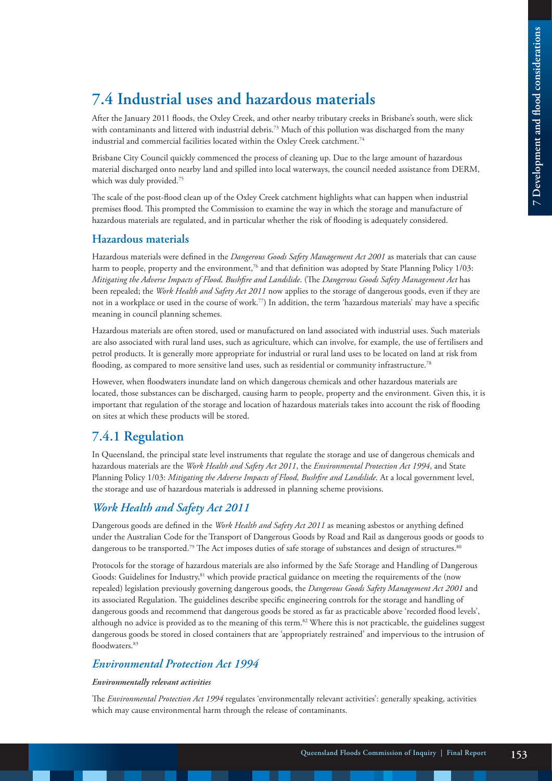# **7.4 Industrial uses and hazardous materials**

After the January 2011 floods, the Oxley Creek, and other nearby tributary creeks in Brisbane's south, were slick with contaminants and littered with industrial debris.<sup>73</sup> Much of this pollution was discharged from the many industrial and commercial facilities located within the Oxley Creek catchment.<sup>74</sup>

Brisbane City Council quickly commenced the process of cleaning up. Due to the large amount of hazardous material discharged onto nearby land and spilled into local waterways, the council needed assistance from DERM, which was duly provided.<sup>75</sup>

The scale of the post-flood clean up of the Oxley Creek catchment highlights what can happen when industrial premises flood. This prompted the Commission to examine the way in which the storage and manufacture of hazardous materials are regulated, and in particular whether the risk of flooding is adequately considered.

#### **Hazardous materials**

Hazardous materials were defined in the *Dangerous Goods Safety Management Act 2001* as materials that can cause harm to people, property and the environment,<sup>76</sup> and that definition was adopted by State Planning Policy 1/03: *Mitigating the Adverse Impacts of Flood, Bushfire and Landslide*. (The *Dangerous Goods Safety Management Act* has been repealed; the *Work Health and Safety Act 2011* now applies to the storage of dangerous goods, even if they are not in a workplace or used in the course of work.77) In addition, the term 'hazardous materials' may have a specific meaning in council planning schemes.

Hazardous materials are often stored, used or manufactured on land associated with industrial uses. Such materials are also associated with rural land uses, such as agriculture, which can involve, for example, the use of fertilisers and petrol products. It is generally more appropriate for industrial or rural land uses to be located on land at risk from flooding, as compared to more sensitive land uses, such as residential or community infrastructure.78

However, when floodwaters inundate land on which dangerous chemicals and other hazardous materials are located, those substances can be discharged, causing harm to people, property and the environment. Given this, it is important that regulation of the storage and location of hazardous materials takes into account the risk of flooding on sites at which these products will be stored.

### **7.4.1 Regulation**

In Queensland, the principal state level instruments that regulate the storage and use of dangerous chemicals and hazardous materials are the *Work Health and Safety Act 2011*, the *Environmental Protection Act 1994*, and State Planning Policy 1/03: *Mitigating the Adverse Impacts of Flood, Bushfire and Landslide*. At a local government level, the storage and use of hazardous materials is addressed in planning scheme provisions.

#### *Work Health and Safety Act 2011*

Dangerous goods are defined in the *Work Health and Safety Act 2011* as meaning asbestos or anything defined under the Australian Code for the Transport of Dangerous Goods by Road and Rail as dangerous goods or goods to dangerous to be transported.<sup>79</sup> The Act imposes duties of safe storage of substances and design of structures.<sup>80</sup>

Protocols for the storage of hazardous materials are also informed by the Safe Storage and Handling of Dangerous Goods: Guidelines for Industry,<sup>81</sup> which provide practical guidance on meeting the requirements of the (now repealed) legislation previously governing dangerous goods, the *Dangerous Goods Safety Management Act 2001* and its associated Regulation. The guidelines describe specific engineering controls for the storage and handling of dangerous goods and recommend that dangerous goods be stored as far as practicable above 'recorded flood levels', although no advice is provided as to the meaning of this term.<sup>82</sup> Where this is not practicable, the guidelines suggest dangerous goods be stored in closed containers that are 'appropriately restrained' and impervious to the intrusion of floodwaters.<sup>83</sup>

#### *Environmental Protection Act 1994*

#### *Environmentally relevant activities*

The *Environmental Protection Act 1994* regulates 'environmentally relevant activities': generally speaking, activities which may cause environmental harm through the release of contaminants.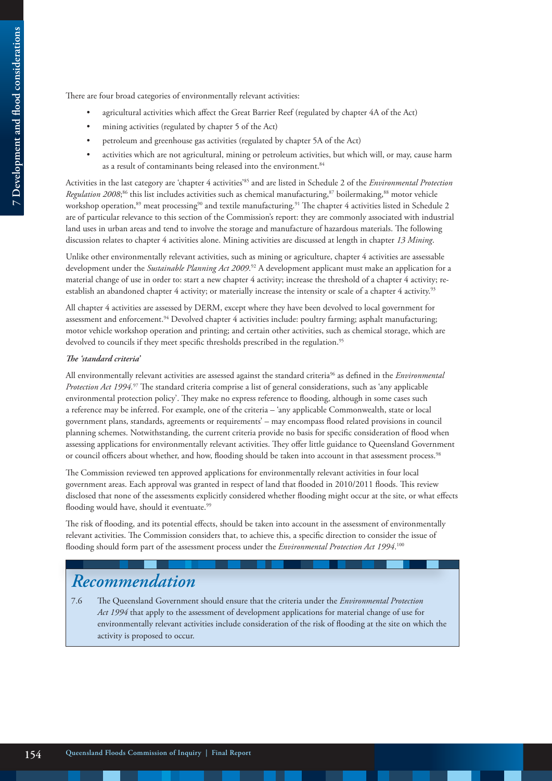There are four broad categories of environmentally relevant activities:

- agricultural activities which affect the Great Barrier Reef (regulated by chapter 4A of the Act)
- mining activities (regulated by chapter 5 of the Act)
- petroleum and greenhouse gas activities (regulated by chapter 5A of the Act)
- activities which are not agricultural, mining or petroleum activities, but which will, or may, cause harm as a result of contaminants being released into the environment.<sup>84</sup>

Activities in the last category are 'chapter 4 activities'85 and are listed in Schedule 2 of the *Environmental Protection*  Regulation 2008;<sup>86</sup> this list includes activities such as chemical manufacturing,<sup>87</sup> boilermaking,<sup>88</sup> motor vehicle workshop operation,<sup>89</sup> meat processing<sup>90</sup> and textile manufacturing.<sup>91</sup> The chapter 4 activities listed in Schedule 2 are of particular relevance to this section of the Commission's report: they are commonly associated with industrial land uses in urban areas and tend to involve the storage and manufacture of hazardous materials. The following discussion relates to chapter 4 activities alone. Mining activities are discussed at length in chapter *13 Mining*.

Unlike other environmentally relevant activities, such as mining or agriculture, chapter 4 activities are assessable development under the *Sustainable Planning Act 2009*. 92 A development applicant must make an application for a material change of use in order to: start a new chapter 4 activity; increase the threshold of a chapter 4 activity; reestablish an abandoned chapter 4 activity; or materially increase the intensity or scale of a chapter 4 activity.<sup>93</sup>

All chapter 4 activities are assessed by DERM, except where they have been devolved to local government for assessment and enforcement.<sup>94</sup> Devolved chapter 4 activities include: poultry farming; asphalt manufacturing; motor vehicle workshop operation and printing; and certain other activities, such as chemical storage, which are devolved to councils if they meet specific thresholds prescribed in the regulation.<sup>95</sup>

#### *The 'standard criteria'*

All environmentally relevant activities are assessed against the standard criteria96 as defined in the *Environmental Protection Act 1994.*97 The standard criteria comprise a list of general considerations, such as 'any applicable environmental protection policy'. They make no express reference to flooding, although in some cases such a reference may be inferred. For example, one of the criteria – 'any applicable Commonwealth, state or local government plans, standards, agreements or requirements' – may encompass flood related provisions in council planning schemes. Notwithstanding, the current criteria provide no basis for specific consideration of flood when assessing applications for environmentally relevant activities. They offer little guidance to Queensland Government or council officers about whether, and how, flooding should be taken into account in that assessment process.<sup>98</sup>

The Commission reviewed ten approved applications for environmentally relevant activities in four local government areas. Each approval was granted in respect of land that flooded in 2010/2011 floods. This review disclosed that none of the assessments explicitly considered whether flooding might occur at the site, or what effects flooding would have, should it eventuate.<sup>99</sup>

The risk of flooding, and its potential effects, should be taken into account in the assessment of environmentally relevant activities. The Commission considers that, to achieve this, a specific direction to consider the issue of flooding should form part of the assessment process under the *Environmental Protection Act 1994*.<sup>100</sup>

# *Recommendation*

7.6 The Queensland Government should ensure that the criteria under the *Environmental Protection Act 1994* that apply to the assessment of development applications for material change of use for environmentally relevant activities include consideration of the risk of flooding at the site on which the activity is proposed to occur.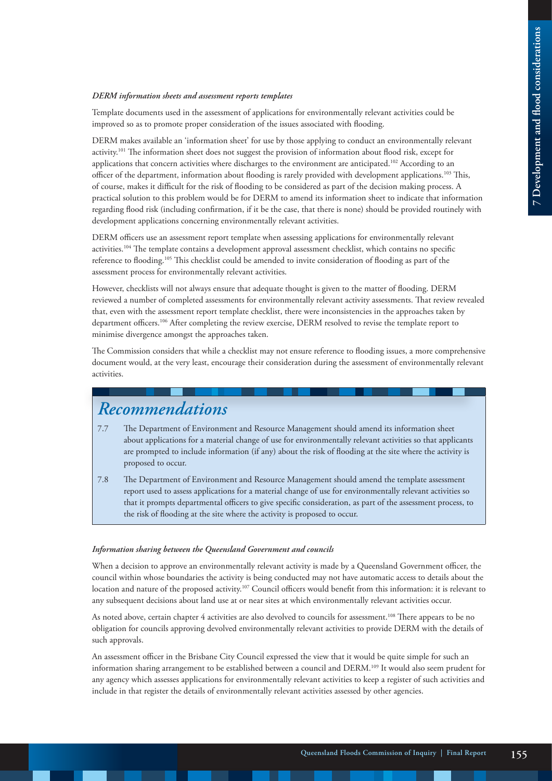#### *DERM information sheets and assessment reports templates*

Template documents used in the assessment of applications for environmentally relevant activities could be improved so as to promote proper consideration of the issues associated with flooding.

DERM makes available an 'information sheet' for use by those applying to conduct an environmentally relevant activity.101 The information sheet does not suggest the provision of information about flood risk, except for applications that concern activities where discharges to the environment are anticipated.<sup>102</sup> According to an officer of the department, information about flooding is rarely provided with development applications.<sup>103</sup> This, of course, makes it difficult for the risk of flooding to be considered as part of the decision making process. A practical solution to this problem would be for DERM to amend its information sheet to indicate that information regarding flood risk (including confirmation, if it be the case, that there is none) should be provided routinely with development applications concerning environmentally relevant activities.

DERM officers use an assessment report template when assessing applications for environmentally relevant activities.104 The template contains a development approval assessment checklist, which contains no specific reference to flooding.105 This checklist could be amended to invite consideration of flooding as part of the assessment process for environmentally relevant activities.

However, checklists will not always ensure that adequate thought is given to the matter of flooding. DERM reviewed a number of completed assessments for environmentally relevant activity assessments. That review revealed that, even with the assessment report template checklist, there were inconsistencies in the approaches taken by department officers.<sup>106</sup> After completing the review exercise, DERM resolved to revise the template report to minimise divergence amongst the approaches taken.

The Commission considers that while a checklist may not ensure reference to flooding issues, a more comprehensive document would, at the very least, encourage their consideration during the assessment of environmentally relevant activities.

# *Recommendations*

- 7.7 The Department of Environment and Resource Management should amend its information sheet about applications for a material change of use for environmentally relevant activities so that applicants are prompted to include information (if any) about the risk of flooding at the site where the activity is proposed to occur.
- 7.8 The Department of Environment and Resource Management should amend the template assessment report used to assess applications for a material change of use for environmentally relevant activities so that it prompts departmental officers to give specific consideration, as part of the assessment process, to the risk of flooding at the site where the activity is proposed to occur.

#### *Information sharing between the Queensland Government and councils*

When a decision to approve an environmentally relevant activity is made by a Queensland Government officer, the council within whose boundaries the activity is being conducted may not have automatic access to details about the location and nature of the proposed activity.107 Council officers would benefit from this information: it is relevant to any subsequent decisions about land use at or near sites at which environmentally relevant activities occur.

As noted above, certain chapter 4 activities are also devolved to councils for assessment.108 There appears to be no obligation for councils approving devolved environmentally relevant activities to provide DERM with the details of such approvals.

An assessment officer in the Brisbane City Council expressed the view that it would be quite simple for such an information sharing arrangement to be established between a council and DERM.109 It would also seem prudent for any agency which assesses applications for environmentally relevant activities to keep a register of such activities and include in that register the details of environmentally relevant activities assessed by other agencies.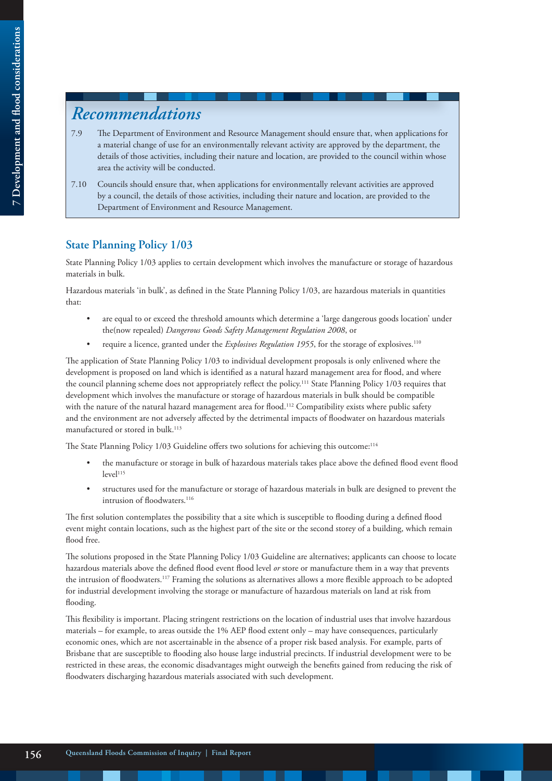# *Recommendations*

- 7.9 The Department of Environment and Resource Management should ensure that, when applications for a material change of use for an environmentally relevant activity are approved by the department, the details of those activities, including their nature and location, are provided to the council within whose area the activity will be conducted.
- 7.10 Councils should ensure that, when applications for environmentally relevant activities are approved by a council, the details of those activities, including their nature and location, are provided to the Department of Environment and Resource Management.

#### **State Planning Policy 1/03**

State Planning Policy 1/03 applies to certain development which involves the manufacture or storage of hazardous materials in bulk.

Hazardous materials 'in bulk', as defined in the State Planning Policy 1/03, are hazardous materials in quantities that:

- are equal to or exceed the threshold amounts which determine a 'large dangerous goods location' under the(now repealed) *Dangerous Goods Safety Management Regulation 2008*, or
- require a licence, granted under the *Explosives Regulation 1955*, for the storage of explosives.110

The application of State Planning Policy 1/03 to individual development proposals is only enlivened where the development is proposed on land which is identified as a natural hazard management area for flood, and where the council planning scheme does not appropriately reflect the policy.111 State Planning Policy 1/03 requires that development which involves the manufacture or storage of hazardous materials in bulk should be compatible with the nature of the natural hazard management area for flood.<sup>112</sup> Compatibility exists where public safety and the environment are not adversely affected by the detrimental impacts of floodwater on hazardous materials manufactured or stored in bulk.<sup>113</sup>

The State Planning Policy 1/03 Guideline offers two solutions for achieving this outcome:<sup>114</sup>

- the manufacture or storage in bulk of hazardous materials takes place above the defined flood event flood level<sup>115</sup>
- structures used for the manufacture or storage of hazardous materials in bulk are designed to prevent the intrusion of floodwaters.<sup>116</sup>

The first solution contemplates the possibility that a site which is susceptible to flooding during a defined flood event might contain locations, such as the highest part of the site or the second storey of a building, which remain flood free.

The solutions proposed in the State Planning Policy 1/03 Guideline are alternatives; applicants can choose to locate hazardous materials above the defined flood event flood level *or* store or manufacture them in a way that prevents the intrusion of floodwaters.117 Framing the solutions as alternatives allows a more flexible approach to be adopted for industrial development involving the storage or manufacture of hazardous materials on land at risk from flooding.

This flexibility is important. Placing stringent restrictions on the location of industrial uses that involve hazardous materials – for example, to areas outside the 1% AEP flood extent only – may have consequences, particularly economic ones, which are not ascertainable in the absence of a proper risk based analysis. For example, parts of Brisbane that are susceptible to flooding also house large industrial precincts. If industrial development were to be restricted in these areas, the economic disadvantages might outweigh the benefits gained from reducing the risk of floodwaters discharging hazardous materials associated with such development.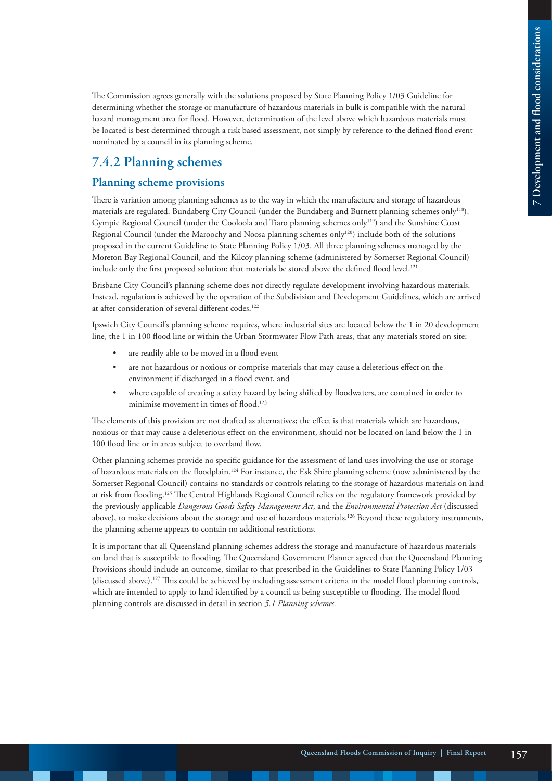The Commission agrees generally with the solutions proposed by State Planning Policy 1/03 Guideline for determining whether the storage or manufacture of hazardous materials in bulk is compatible with the natural hazard management area for flood. However, determination of the level above which hazardous materials must be located is best determined through a risk based assessment, not simply by reference to the defined flood event nominated by a council in its planning scheme.

### **7.4.2 Planning schemes**

#### **Planning scheme provisions**

There is variation among planning schemes as to the way in which the manufacture and storage of hazardous materials are regulated. Bundaberg City Council (under the Bundaberg and Burnett planning schemes only118), Gympie Regional Council (under the Cooloola and Tiaro planning schemes only119) and the Sunshine Coast Regional Council (under the Maroochy and Noosa planning schemes only120) include both of the solutions proposed in the current Guideline to State Planning Policy 1/03. All three planning schemes managed by the Moreton Bay Regional Council, and the Kilcoy planning scheme (administered by Somerset Regional Council) include only the first proposed solution: that materials be stored above the defined flood level.<sup>121</sup>

Brisbane City Council's planning scheme does not directly regulate development involving hazardous materials. Instead, regulation is achieved by the operation of the Subdivision and Development Guidelines, which are arrived at after consideration of several different codes.<sup>122</sup>

Ipswich City Council's planning scheme requires, where industrial sites are located below the 1 in 20 development line, the 1 in 100 flood line or within the Urban Stormwater Flow Path areas, that any materials stored on site:

- are readily able to be moved in a flood event
- are not hazardous or noxious or comprise materials that may cause a deleterious effect on the environment if discharged in a flood event, and
- where capable of creating a safety hazard by being shifted by floodwaters, are contained in order to minimise movement in times of flood.<sup>123</sup>

The elements of this provision are not drafted as alternatives; the effect is that materials which are hazardous, noxious or that may cause a deleterious effect on the environment, should not be located on land below the 1 in 100 flood line or in areas subject to overland flow.

Other planning schemes provide no specific guidance for the assessment of land uses involving the use or storage of hazardous materials on the floodplain.124 For instance, the Esk Shire planning scheme (now administered by the Somerset Regional Council) contains no standards or controls relating to the storage of hazardous materials on land at risk from flooding.<sup>125</sup> The Central Highlands Regional Council relies on the regulatory framework provided by the previously applicable *Dangerous Goods Safety Management Act*, and the *Environmental Protection Act* (discussed above), to make decisions about the storage and use of hazardous materials.126 Beyond these regulatory instruments, the planning scheme appears to contain no additional restrictions.

It is important that all Queensland planning schemes address the storage and manufacture of hazardous materials on land that is susceptible to flooding. The Queensland Government Planner agreed that the Queensland Planning Provisions should include an outcome, similar to that prescribed in the Guidelines to State Planning Policy 1/03 (discussed above).127 This could be achieved by including assessment criteria in the model flood planning controls, which are intended to apply to land identified by a council as being susceptible to flooding. The model flood planning controls are discussed in detail in section *5.1 Planning schemes.*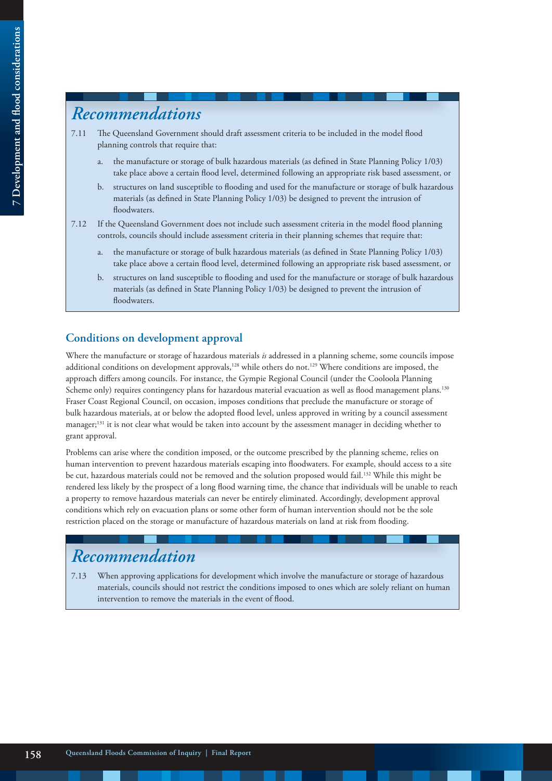# *Recommendations*

- 7.11 The Queensland Government should draft assessment criteria to be included in the model flood planning controls that require that:
	- a. the manufacture or storage of bulk hazardous materials (as defined in State Planning Policy 1/03) take place above a certain flood level, determined following an appropriate risk based assessment, or
	- b. structures on land susceptible to flooding and used for the manufacture or storage of bulk hazardous materials (as defined in State Planning Policy 1/03) be designed to prevent the intrusion of floodwaters.
- 7.12 If the Queensland Government does not include such assessment criteria in the model flood planning controls, councils should include assessment criteria in their planning schemes that require that:
	- a. the manufacture or storage of bulk hazardous materials (as defined in State Planning Policy 1/03) take place above a certain flood level, determined following an appropriate risk based assessment, or
	- b. structures on land susceptible to flooding and used for the manufacture or storage of bulk hazardous materials (as defined in State Planning Policy 1/03) be designed to prevent the intrusion of floodwaters.

#### **Conditions on development approval**

Where the manufacture or storage of hazardous materials *is* addressed in a planning scheme, some councils impose additional conditions on development approvals,<sup>128</sup> while others do not.<sup>129</sup> Where conditions are imposed, the approach differs among councils. For instance, the Gympie Regional Council (under the Cooloola Planning Scheme only) requires contingency plans for hazardous material evacuation as well as flood management plans.<sup>130</sup> Fraser Coast Regional Council, on occasion, imposes conditions that preclude the manufacture or storage of bulk hazardous materials, at or below the adopted flood level, unless approved in writing by a council assessment manager;<sup>131</sup> it is not clear what would be taken into account by the assessment manager in deciding whether to grant approval.

Problems can arise where the condition imposed, or the outcome prescribed by the planning scheme, relies on human intervention to prevent hazardous materials escaping into floodwaters. For example, should access to a site be cut, hazardous materials could not be removed and the solution proposed would fail.<sup>132</sup> While this might be rendered less likely by the prospect of a long flood warning time, the chance that individuals will be unable to reach a property to remove hazardous materials can never be entirely eliminated. Accordingly, development approval conditions which rely on evacuation plans or some other form of human intervention should not be the sole restriction placed on the storage or manufacture of hazardous materials on land at risk from flooding.

# *Recommendation*

7.13 When approving applications for development which involve the manufacture or storage of hazardous materials, councils should not restrict the conditions imposed to ones which are solely reliant on human intervention to remove the materials in the event of flood.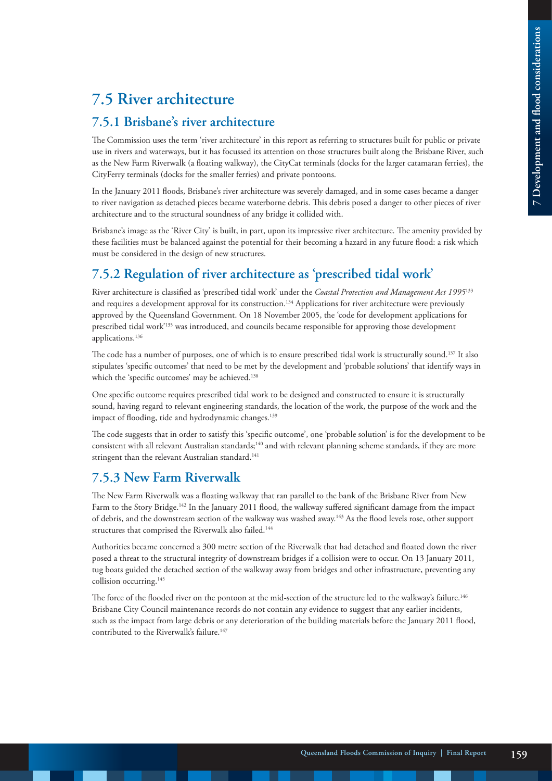# **7.5 River architecture**

#### **7.5.1 Brisbane's river architecture**

The Commission uses the term 'river architecture' in this report as referring to structures built for public or private use in rivers and waterways, but it has focussed its attention on those structures built along the Brisbane River, such as the New Farm Riverwalk (a floating walkway), the CityCat terminals (docks for the larger catamaran ferries), the CityFerry terminals (docks for the smaller ferries) and private pontoons.

In the January 2011 floods, Brisbane's river architecture was severely damaged, and in some cases became a danger to river navigation as detached pieces became waterborne debris. This debris posed a danger to other pieces of river architecture and to the structural soundness of any bridge it collided with.

Brisbane's image as the 'River City' is built, in part, upon its impressive river architecture. The amenity provided by these facilities must be balanced against the potential for their becoming a hazard in any future flood: a risk which must be considered in the design of new structures.

### **7.5.2 Regulation of river architecture as 'prescribed tidal work'**

River architecture is classified as 'prescribed tidal work' under the *Coastal Protection and Management Act 1995*<sup>133</sup> and requires a development approval for its construction.<sup>134</sup> Applications for river architecture were previously approved by the Queensland Government. On 18 November 2005, the 'code for development applications for prescribed tidal work'135 was introduced, and councils became responsible for approving those development applications.136

The code has a number of purposes, one of which is to ensure prescribed tidal work is structurally sound.<sup>137</sup> It also stipulates 'specific outcomes' that need to be met by the development and 'probable solutions' that identify ways in which the 'specific outcomes' may be achieved.<sup>138</sup>

One specific outcome requires prescribed tidal work to be designed and constructed to ensure it is structurally sound, having regard to relevant engineering standards, the location of the work, the purpose of the work and the impact of flooding, tide and hydrodynamic changes.<sup>139</sup>

The code suggests that in order to satisfy this 'specific outcome', one 'probable solution' is for the development to be consistent with all relevant Australian standards;<sup>140</sup> and with relevant planning scheme standards, if they are more stringent than the relevant Australian standard.<sup>141</sup>

### **7.5.3 New Farm Riverwalk**

The New Farm Riverwalk was a floating walkway that ran parallel to the bank of the Brisbane River from New Farm to the Story Bridge.<sup>142</sup> In the January 2011 flood, the walkway suffered significant damage from the impact of debris, and the downstream section of the walkway was washed away.143 As the flood levels rose, other support structures that comprised the Riverwalk also failed.<sup>144</sup>

Authorities became concerned a 300 metre section of the Riverwalk that had detached and floated down the river posed a threat to the structural integrity of downstream bridges if a collision were to occur. On 13 January 2011, tug boats guided the detached section of the walkway away from bridges and other infrastructure, preventing any collision occurring.<sup>145</sup>

The force of the flooded river on the pontoon at the mid-section of the structure led to the walkway's failure.<sup>146</sup> Brisbane City Council maintenance records do not contain any evidence to suggest that any earlier incidents, such as the impact from large debris or any deterioration of the building materials before the January 2011 flood, contributed to the Riverwalk's failure.<sup>147</sup>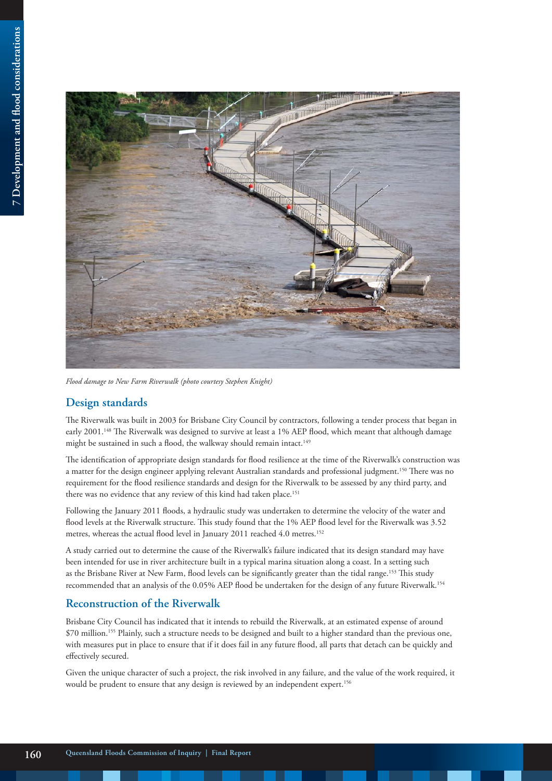

*Flood damage to New Farm Riverwalk (photo courtesy Stephen Knight)*

#### **Design standards**

The Riverwalk was built in 2003 for Brisbane City Council by contractors, following a tender process that began in early 2001.<sup>148</sup> The Riverwalk was designed to survive at least a 1% AEP flood, which meant that although damage might be sustained in such a flood, the walkway should remain intact.<sup>149</sup>

The identification of appropriate design standards for flood resilience at the time of the Riverwalk's construction was a matter for the design engineer applying relevant Australian standards and professional judgment.150 There was no requirement for the flood resilience standards and design for the Riverwalk to be assessed by any third party, and there was no evidence that any review of this kind had taken place.<sup>151</sup>

Following the January 2011 floods, a hydraulic study was undertaken to determine the velocity of the water and flood levels at the Riverwalk structure. This study found that the 1% AEP flood level for the Riverwalk was 3.52 metres, whereas the actual flood level in January 2011 reached 4.0 metres.<sup>152</sup>

A study carried out to determine the cause of the Riverwalk's failure indicated that its design standard may have been intended for use in river architecture built in a typical marina situation along a coast. In a setting such as the Brisbane River at New Farm, flood levels can be significantly greater than the tidal range.<sup>153</sup> This study recommended that an analysis of the 0.05% AEP flood be undertaken for the design of any future Riverwalk.154

#### **Reconstruction of the Riverwalk**

Brisbane City Council has indicated that it intends to rebuild the Riverwalk, at an estimated expense of around \$70 million.155 Plainly, such a structure needs to be designed and built to a higher standard than the previous one, with measures put in place to ensure that if it does fail in any future flood, all parts that detach can be quickly and effectively secured.

Given the unique character of such a project, the risk involved in any failure, and the value of the work required, it would be prudent to ensure that any design is reviewed by an independent expert.<sup>156</sup>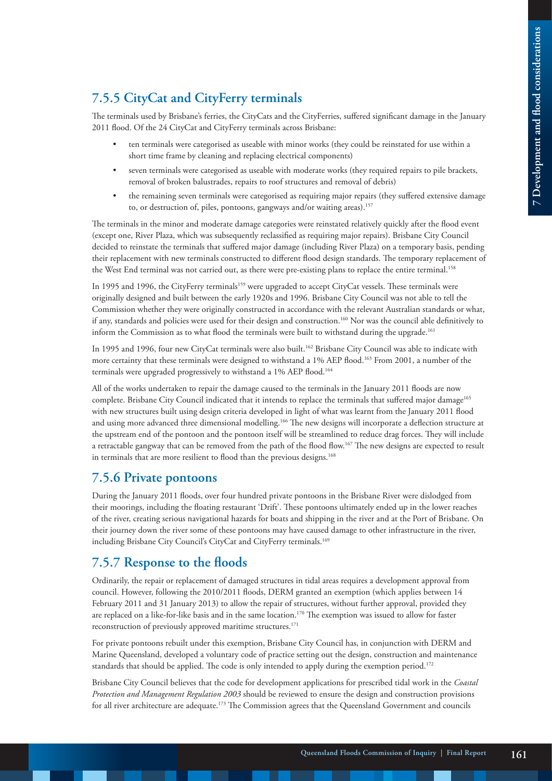### **7.5.5 CityCat and CityFerry terminals**

The terminals used by Brisbane's ferries, the CityCats and the CityFerries, suffered significant damage in the January 2011 flood. Of the 24 CityCat and CityFerry terminals across Brisbane:

- ten terminals were categorised as useable with minor works (they could be reinstated for use within a short time frame by cleaning and replacing electrical components)
- seven terminals were categorised as useable with moderate works (they required repairs to pile brackets, removal of broken balustrades, repairs to roof structures and removal of debris)
- the remaining seven terminals were categorised as requiring major repairs (they suffered extensive damage to, or destruction of, piles, pontoons, gangways and/or waiting areas).<sup>157</sup>

The terminals in the minor and moderate damage categories were reinstated relatively quickly after the flood event (except one, River Plaza, which was subsequently reclassified as requiring major repairs). Brisbane City Council decided to reinstate the terminals that suffered major damage (including River Plaza) on a temporary basis, pending their replacement with new terminals constructed to different flood design standards. The temporary replacement of the West End terminal was not carried out, as there were pre-existing plans to replace the entire terminal.<sup>158</sup>

In 1995 and 1996, the CityFerry terminals<sup>159</sup> were upgraded to accept CityCat vessels. These terminals were originally designed and built between the early 1920s and 1996. Brisbane City Council was not able to tell the Commission whether they were originally constructed in accordance with the relevant Australian standards or what, if any, standards and policies were used for their design and construction.160 Nor was the council able definitively to inform the Commission as to what flood the terminals were built to withstand during the upgrade.<sup>161</sup>

In 1995 and 1996, four new CityCat terminals were also built.162 Brisbane City Council was able to indicate with more certainty that these terminals were designed to withstand a 1% AEP flood.<sup>163</sup> From 2001, a number of the terminals were upgraded progressively to withstand a 1% AEP flood.<sup>164</sup>

All of the works undertaken to repair the damage caused to the terminals in the January 2011 floods are now complete. Brisbane City Council indicated that it intends to replace the terminals that suffered major damage<sup>165</sup> with new structures built using design criteria developed in light of what was learnt from the January 2011 flood and using more advanced three dimensional modelling.166 The new designs will incorporate a deflection structure at the upstream end of the pontoon and the pontoon itself will be streamlined to reduce drag forces. They will include a retractable gangway that can be removed from the path of the flood flow.<sup>167</sup> The new designs are expected to result in terminals that are more resilient to flood than the previous designs.<sup>168</sup>

### **7.5.6 Private pontoons**

During the January 2011 floods, over four hundred private pontoons in the Brisbane River were dislodged from their moorings, including the floating restaurant 'Drift'. These pontoons ultimately ended up in the lower reaches of the river, creating serious navigational hazards for boats and shipping in the river and at the Port of Brisbane. On their journey down the river some of these pontoons may have caused damage to other infrastructure in the river, including Brisbane City Council's CityCat and CityFerry terminals.<sup>169</sup>

### **7.5.7 Response to the floods**

Ordinarily, the repair or replacement of damaged structures in tidal areas requires a development approval from council. However, following the 2010/2011 floods, DERM granted an exemption (which applies between 14 February 2011 and 31 January 2013) to allow the repair of structures, without further approval, provided they are replaced on a like-for-like basis and in the same location.170 The exemption was issued to allow for faster reconstruction of previously approved maritime structures.<sup>171</sup>

For private pontoons rebuilt under this exemption, Brisbane City Council has, in conjunction with DERM and Marine Queensland, developed a voluntary code of practice setting out the design, construction and maintenance standards that should be applied. The code is only intended to apply during the exemption period.<sup>172</sup>

Brisbane City Council believes that the code for development applications for prescribed tidal work in the *Coastal Protection and Management Regulation 2003* should be reviewed to ensure the design and construction provisions for all river architecture are adequate.<sup>173</sup> The Commission agrees that the Queensland Government and councils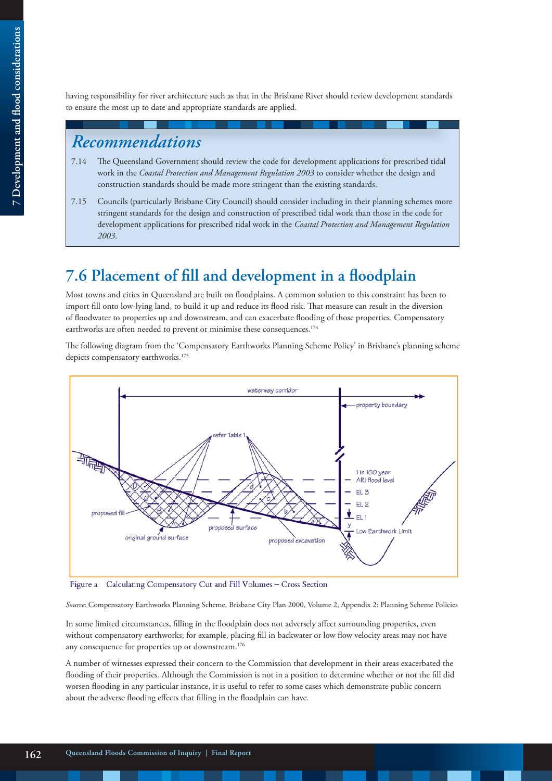having responsibility for river architecture such as that in the Brisbane River should review development standards to ensure the most up to date and appropriate standards are applied.

# *Recommendations*

- 7.14 The Queensland Government should review the code for development applications for prescribed tidal work in the *Coastal Protection and Management Regulation 2003* to consider whether the design and construction standards should be made more stringent than the existing standards.
- 7.15 Councils (particularly Brisbane City Council) should consider including in their planning schemes more stringent standards for the design and construction of prescribed tidal work than those in the code for development applications for prescribed tidal work in the *Coastal Protection and Management Regulation 2003*.

# **7.6 Placement of fill and development in a floodplain**

Most towns and cities in Queensland are built on floodplains. A common solution to this constraint has been to import fill onto low-lying land, to build it up and reduce its flood risk. That measure can result in the diversion of floodwater to properties up and downstream, and can exacerbate flooding of those properties. Compensatory earthworks are often needed to prevent or minimise these consequences.<sup>174</sup>

The following diagram from the 'Compensatory Earthworks Planning Scheme Policy' in Brisbane's planning scheme depicts compensatory earthworks.<sup>175</sup>



Calculating Compensatory Cut and Fill Volumes - Cross Section Figure a

*Source*: Compensatory Earthworks Planning Scheme, Brisbane City Plan 2000, Volume 2, Appendix 2: Planning Scheme Policies

In some limited circumstances, filling in the floodplain does not adversely affect surrounding properties, even without compensatory earthworks; for example, placing fill in backwater or low flow velocity areas may not have any consequence for properties up or downstream.<sup>176</sup>

A number of witnesses expressed their concern to the Commission that development in their areas exacerbated the flooding of their properties. Although the Commission is not in a position to determine whether or not the fill did worsen flooding in any particular instance, it is useful to refer to some cases which demonstrate public concern about the adverse flooding effects that filling in the floodplain can have.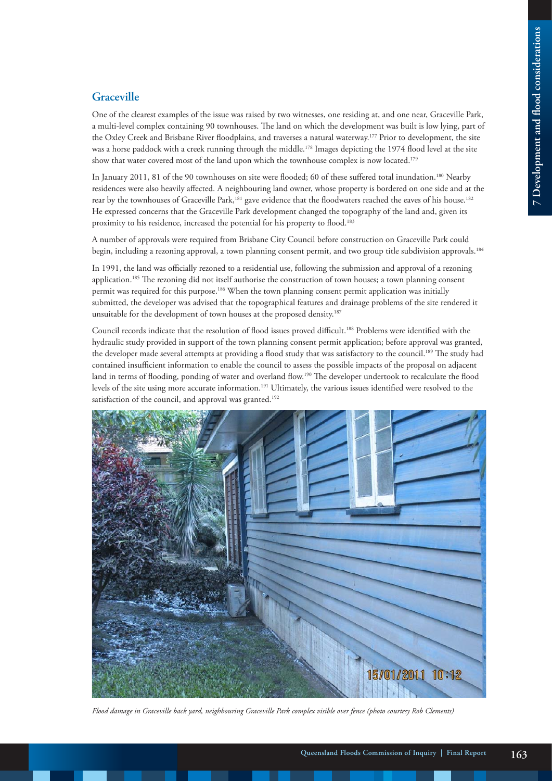### **Graceville**

One of the clearest examples of the issue was raised by two witnesses, one residing at, and one near, Graceville Park, a multi-level complex containing 90 townhouses. The land on which the development was built is low lying, part of the Oxley Creek and Brisbane River floodplains, and traverses a natural waterway.177 Prior to development, the site was a horse paddock with a creek running through the middle.<sup>178</sup> Images depicting the 1974 flood level at the site show that water covered most of the land upon which the townhouse complex is now located.179

In January 2011, 81 of the 90 townhouses on site were flooded; 60 of these suffered total inundation.<sup>180</sup> Nearby residences were also heavily affected. A neighbouring land owner, whose property is bordered on one side and at the rear by the townhouses of Graceville Park,181 gave evidence that the floodwaters reached the eaves of his house.182 He expressed concerns that the Graceville Park development changed the topography of the land and, given its proximity to his residence, increased the potential for his property to flood.<sup>183</sup>

A number of approvals were required from Brisbane City Council before construction on Graceville Park could begin, including a rezoning approval, a town planning consent permit, and two group title subdivision approvals.<sup>184</sup>

In 1991, the land was officially rezoned to a residential use, following the submission and approval of a rezoning application.<sup>185</sup> The rezoning did not itself authorise the construction of town houses; a town planning consent permit was required for this purpose.<sup>186</sup> When the town planning consent permit application was initially submitted, the developer was advised that the topographical features and drainage problems of the site rendered it unsuitable for the development of town houses at the proposed density.<sup>187</sup>

Council records indicate that the resolution of flood issues proved difficult.188 Problems were identified with the hydraulic study provided in support of the town planning consent permit application; before approval was granted, the developer made several attempts at providing a flood study that was satisfactory to the council.189 The study had contained insufficient information to enable the council to assess the possible impacts of the proposal on adjacent land in terms of flooding, ponding of water and overland flow.<sup>190</sup> The developer undertook to recalculate the flood levels of the site using more accurate information.191 Ultimately, the various issues identified were resolved to the satisfaction of the council, and approval was granted.<sup>192</sup>



*Flood damage in Graceville back yard, neighbouring Graceville Park complex visible over fence (photo courtesy Rob Clements)*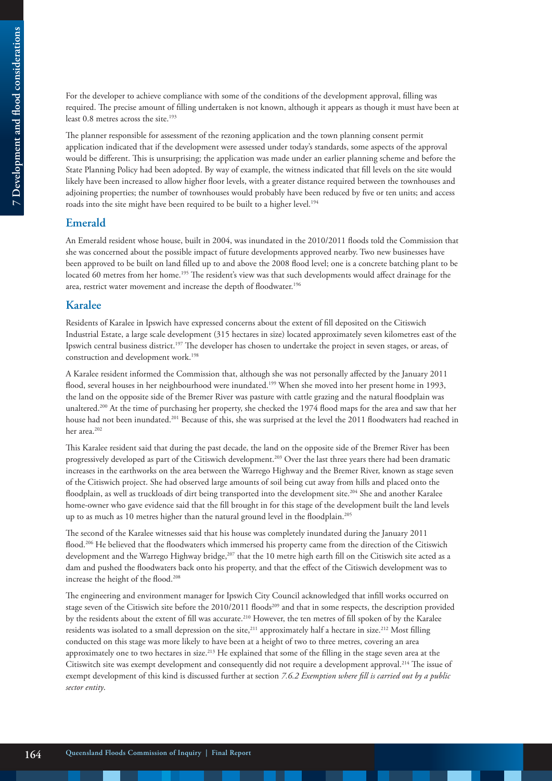For the developer to achieve compliance with some of the conditions of the development approval, filling was required. The precise amount of filling undertaken is not known, although it appears as though it must have been at least 0.8 metres across the site.<sup>193</sup>

The planner responsible for assessment of the rezoning application and the town planning consent permit application indicated that if the development were assessed under today's standards, some aspects of the approval would be different. This is unsurprising; the application was made under an earlier planning scheme and before the State Planning Policy had been adopted. By way of example, the witness indicated that fill levels on the site would likely have been increased to allow higher floor levels, with a greater distance required between the townhouses and adjoining properties; the number of townhouses would probably have been reduced by five or ten units; and access roads into the site might have been required to be built to a higher level.<sup>194</sup>

#### **Emerald**

An Emerald resident whose house, built in 2004, was inundated in the 2010/2011 floods told the Commission that she was concerned about the possible impact of future developments approved nearby. Two new businesses have been approved to be built on land filled up to and above the 2008 flood level; one is a concrete batching plant to be located 60 metres from her home.195 The resident's view was that such developments would affect drainage for the area, restrict water movement and increase the depth of floodwater.<sup>196</sup>

#### **Karalee**

Residents of Karalee in Ipswich have expressed concerns about the extent of fill deposited on the Citiswich Industrial Estate, a large scale development (315 hectares in size) located approximately seven kilometres east of the Ipswich central business district.197 The developer has chosen to undertake the project in seven stages, or areas, of construction and development work.198

A Karalee resident informed the Commission that, although she was not personally affected by the January 2011 flood, several houses in her neighbourhood were inundated.<sup>199</sup> When she moved into her present home in 1993, the land on the opposite side of the Bremer River was pasture with cattle grazing and the natural floodplain was unaltered.<sup>200</sup> At the time of purchasing her property, she checked the 1974 flood maps for the area and saw that her house had not been inundated.201 Because of this, she was surprised at the level the 2011 floodwaters had reached in her area.<sup>202</sup>

This Karalee resident said that during the past decade, the land on the opposite side of the Bremer River has been progressively developed as part of the Citiswich development.203 Over the last three years there had been dramatic increases in the earthworks on the area between the Warrego Highway and the Bremer River, known as stage seven of the Citiswich project. She had observed large amounts of soil being cut away from hills and placed onto the floodplain, as well as truckloads of dirt being transported into the development site.<sup>204</sup> She and another Karalee home-owner who gave evidence said that the fill brought in for this stage of the development built the land levels up to as much as 10 metres higher than the natural ground level in the floodplain.205

The second of the Karalee witnesses said that his house was completely inundated during the January 2011 flood.206 He believed that the floodwaters which immersed his property came from the direction of the Citiswich development and the Warrego Highway bridge,<sup>207</sup> that the 10 metre high earth fill on the Citiswich site acted as a dam and pushed the floodwaters back onto his property, and that the effect of the Citiswich development was to increase the height of the flood.208

The engineering and environment manager for Ipswich City Council acknowledged that infill works occurred on stage seven of the Citiswich site before the 2010/2011 floods209 and that in some respects, the description provided by the residents about the extent of fill was accurate.<sup>210</sup> However, the ten metres of fill spoken of by the Karalee residents was isolated to a small depression on the site,<sup>211</sup> approximately half a hectare in size.<sup>212</sup> Most filling conducted on this stage was more likely to have been at a height of two to three metres, covering an area approximately one to two hectares in size.213 He explained that some of the filling in the stage seven area at the Citiswitch site was exempt development and consequently did not require a development approval.214 The issue of exempt development of this kind is discussed further at section *7.6.2 Exemption where fill is carried out by a public sector entity*.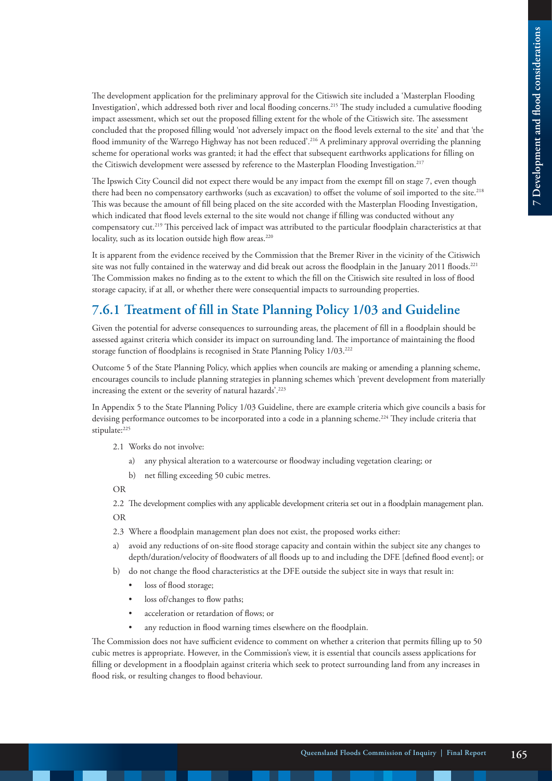The development application for the preliminary approval for the Citiswich site included a 'Masterplan Flooding Investigation', which addressed both river and local flooding concerns.215 The study included a cumulative flooding impact assessment, which set out the proposed filling extent for the whole of the Citiswich site. The assessment concluded that the proposed filling would 'not adversely impact on the flood levels external to the site' and that 'the flood immunity of the Warrego Highway has not been reduced'.216 A preliminary approval overriding the planning scheme for operational works was granted; it had the effect that subsequent earthworks applications for filling on the Citiswich development were assessed by reference to the Masterplan Flooding Investigation.<sup>217</sup>

The Ipswich City Council did not expect there would be any impact from the exempt fill on stage 7, even though there had been no compensatory earthworks (such as excavation) to offset the volume of soil imported to the site.<sup>218</sup> This was because the amount of fill being placed on the site accorded with the Masterplan Flooding Investigation, which indicated that flood levels external to the site would not change if filling was conducted without any compensatory cut.219 This perceived lack of impact was attributed to the particular floodplain characteristics at that locality, such as its location outside high flow areas.<sup>220</sup>

It is apparent from the evidence received by the Commission that the Bremer River in the vicinity of the Citiswich site was not fully contained in the waterway and did break out across the floodplain in the January 2011 floods.<sup>221</sup> The Commission makes no finding as to the extent to which the fill on the Citiswich site resulted in loss of flood storage capacity, if at all, or whether there were consequential impacts to surrounding properties.

### **7.6.1 Treatment of fill in State Planning Policy 1/03 and Guideline**

Given the potential for adverse consequences to surrounding areas, the placement of fill in a floodplain should be assessed against criteria which consider its impact on surrounding land. The importance of maintaining the flood storage function of floodplains is recognised in State Planning Policy 1/03.<sup>222</sup>

Outcome 5 of the State Planning Policy, which applies when councils are making or amending a planning scheme, encourages councils to include planning strategies in planning schemes which 'prevent development from materially increasing the extent or the severity of natural hazards'.223

In Appendix 5 to the State Planning Policy 1/03 Guideline, there are example criteria which give councils a basis for devising performance outcomes to be incorporated into a code in a planning scheme.<sup>224</sup> They include criteria that stipulate:<sup>225</sup>

- 2.1 Works do not involve:
	- a) any physical alteration to a watercourse or floodway including vegetation clearing; or
	- b) net filling exceeding 50 cubic metres.

OR

2.2 The development complies with any applicable development criteria set out in a floodplain management plan. OR

- 2.3 Where a floodplain management plan does not exist, the proposed works either:
- a) avoid any reductions of on-site flood storage capacity and contain within the subject site any changes to depth/duration/velocity of floodwaters of all floods up to and including the DFE [defined flood event]; or
- b) do not change the flood characteristics at the DFE outside the subject site in ways that result in:
	- loss of flood storage;
	- loss of/changes to flow paths;
	- acceleration or retardation of flows; or
	- any reduction in flood warning times elsewhere on the floodplain.

The Commission does not have sufficient evidence to comment on whether a criterion that permits filling up to 50 cubic metres is appropriate. However, in the Commission's view, it is essential that councils assess applications for filling or development in a floodplain against criteria which seek to protect surrounding land from any increases in flood risk, or resulting changes to flood behaviour.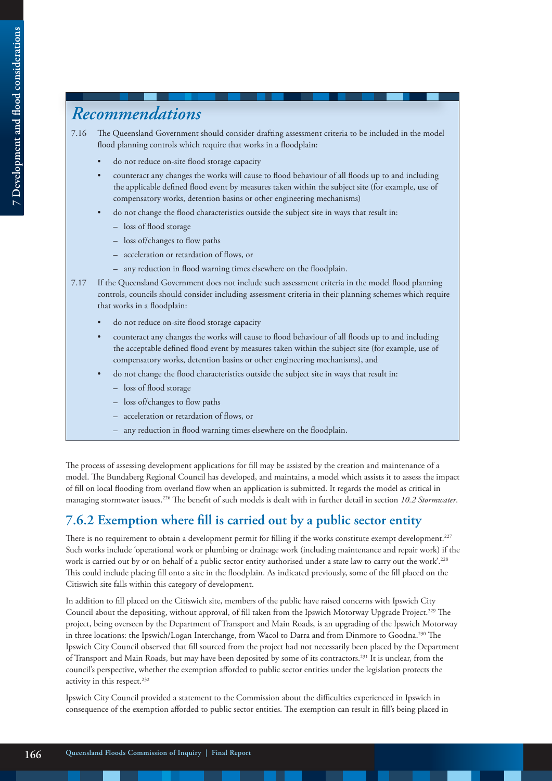# *Recommendations*

- 7.16 The Queensland Government should consider drafting assessment criteria to be included in the model flood planning controls which require that works in a floodplain:
	- do not reduce on-site flood storage capacity
	- counteract any changes the works will cause to flood behaviour of all floods up to and including the applicable defined flood event by measures taken within the subject site (for example, use of compensatory works, detention basins or other engineering mechanisms)
	- do not change the flood characteristics outside the subject site in ways that result in:
		- loss of flood storage
		- loss of/changes to flow paths
		- acceleration or retardation of flows, or
		- any reduction in flood warning times elsewhere on the floodplain.
- 7.17 If the Queensland Government does not include such assessment criteria in the model flood planning controls, councils should consider including assessment criteria in their planning schemes which require that works in a floodplain:
	- do not reduce on-site flood storage capacity
	- counteract any changes the works will cause to flood behaviour of all floods up to and including the acceptable defined flood event by measures taken within the subject site (for example, use of compensatory works, detention basins or other engineering mechanisms), and
	- do not change the flood characteristics outside the subject site in ways that result in:
		- loss of flood storage
		- loss of/changes to flow paths
		- acceleration or retardation of flows, or
		- any reduction in flood warning times elsewhere on the floodplain.

The process of assessing development applications for fill may be assisted by the creation and maintenance of a model. The Bundaberg Regional Council has developed, and maintains, a model which assists it to assess the impact of fill on local flooding from overland flow when an application is submitted. It regards the model as critical in managing stormwater issues.226 The benefit of such models is dealt with in further detail in section *10.2 Stormwater*.

### **7.6.2 Exemption where fill is carried out by a public sector entity**

There is no requirement to obtain a development permit for filling if the works constitute exempt development.<sup>227</sup> Such works include 'operational work or plumbing or drainage work (including maintenance and repair work) if the work is carried out by or on behalf of a public sector entity authorised under a state law to carry out the work'.<sup>228</sup> This could include placing fill onto a site in the floodplain. As indicated previously, some of the fill placed on the Citiswich site falls within this category of development.

In addition to fill placed on the Citiswich site, members of the public have raised concerns with Ipswich City Council about the depositing, without approval, of fill taken from the Ipswich Motorway Upgrade Project.229 The project, being overseen by the Department of Transport and Main Roads, is an upgrading of the Ipswich Motorway in three locations: the Ipswich/Logan Interchange, from Wacol to Darra and from Dinmore to Goodna.<sup>230</sup> The Ipswich City Council observed that fill sourced from the project had not necessarily been placed by the Department of Transport and Main Roads, but may have been deposited by some of its contractors.231 It is unclear, from the council's perspective, whether the exemption afforded to public sector entities under the legislation protects the activity in this respect.<sup>232</sup>

Ipswich City Council provided a statement to the Commission about the difficulties experienced in Ipswich in consequence of the exemption afforded to public sector entities. The exemption can result in fill's being placed in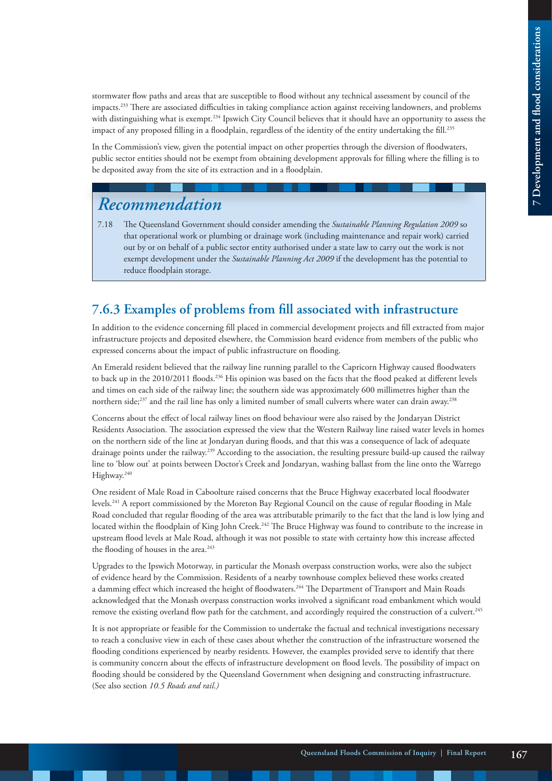stormwater flow paths and areas that are susceptible to flood without any technical assessment by council of the impacts.233 There are associated difficulties in taking compliance action against receiving landowners, and problems with distinguishing what is exempt.<sup>234</sup> Ipswich City Council believes that it should have an opportunity to assess the impact of any proposed filling in a floodplain, regardless of the identity of the entity undertaking the fill.<sup>235</sup>

In the Commission's view, given the potential impact on other properties through the diversion of floodwaters, public sector entities should not be exempt from obtaining development approvals for filling where the filling is to be deposited away from the site of its extraction and in a floodplain.

# *Recommendation*

7.18 The Queensland Government should consider amending the *Sustainable Planning Regulation 2009* so that operational work or plumbing or drainage work (including maintenance and repair work) carried out by or on behalf of a public sector entity authorised under a state law to carry out the work is not exempt development under the *Sustainable Planning Act 2009* if the development has the potential to reduce floodplain storage.

### **7.6.3 Examples of problems from fill associated with infrastructure**

In addition to the evidence concerning fill placed in commercial development projects and fill extracted from major infrastructure projects and deposited elsewhere, the Commission heard evidence from members of the public who expressed concerns about the impact of public infrastructure on flooding.

An Emerald resident believed that the railway line running parallel to the Capricorn Highway caused floodwaters to back up in the 2010/2011 floods.<sup>236</sup> His opinion was based on the facts that the flood peaked at different levels and times on each side of the railway line; the southern side was approximately 600 millimetres higher than the northern side;<sup>237</sup> and the rail line has only a limited number of small culverts where water can drain away.<sup>238</sup>

Concerns about the effect of local railway lines on flood behaviour were also raised by the Jondaryan District Residents Association. The association expressed the view that the Western Railway line raised water levels in homes on the northern side of the line at Jondaryan during floods, and that this was a consequence of lack of adequate drainage points under the railway.239 According to the association, the resulting pressure build-up caused the railway line to 'blow out' at points between Doctor's Creek and Jondaryan, washing ballast from the line onto the Warrego Highway.<sup>240</sup>

One resident of Male Road in Caboolture raised concerns that the Bruce Highway exacerbated local floodwater levels.241 A report commissioned by the Moreton Bay Regional Council on the cause of regular flooding in Male Road concluded that regular flooding of the area was attributable primarily to the fact that the land is low lying and located within the floodplain of King John Creek.<sup>242</sup> The Bruce Highway was found to contribute to the increase in upstream flood levels at Male Road, although it was not possible to state with certainty how this increase affected the flooding of houses in the area.<sup>243</sup>

Upgrades to the Ipswich Motorway, in particular the Monash overpass construction works, were also the subject of evidence heard by the Commission. Residents of a nearby townhouse complex believed these works created a damming effect which increased the height of floodwaters.<sup>244</sup> The Department of Transport and Main Roads acknowledged that the Monash overpass construction works involved a significant road embankment which would remove the existing overland flow path for the catchment, and accordingly required the construction of a culvert.<sup>245</sup>

It is not appropriate or feasible for the Commission to undertake the factual and technical investigations necessary to reach a conclusive view in each of these cases about whether the construction of the infrastructure worsened the flooding conditions experienced by nearby residents. However, the examples provided serve to identify that there is community concern about the effects of infrastructure development on flood levels. The possibility of impact on flooding should be considered by the Queensland Government when designing and constructing infrastructure. (See also section *10.5 Roads and rail.)*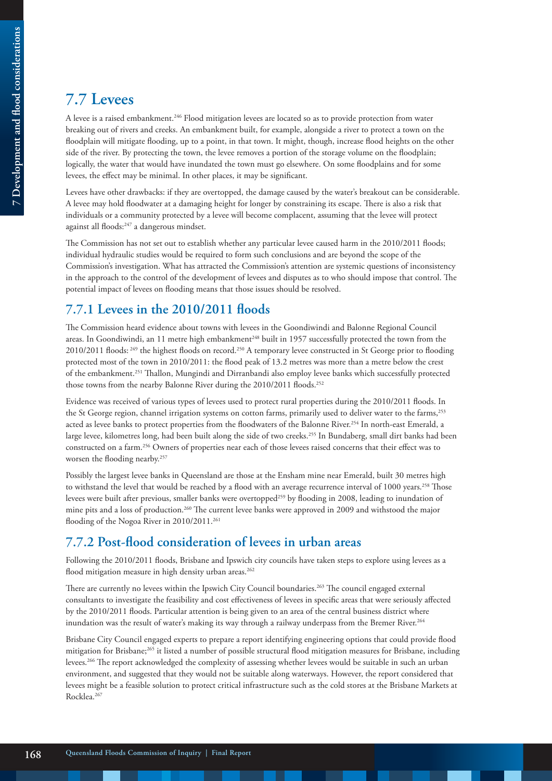# **7.7 Levees**

A levee is a raised embankment.246 Flood mitigation levees are located so as to provide protection from water breaking out of rivers and creeks. An embankment built, for example, alongside a river to protect a town on the floodplain will mitigate flooding, up to a point, in that town. It might, though, increase flood heights on the other side of the river. By protecting the town, the levee removes a portion of the storage volume on the floodplain; logically, the water that would have inundated the town must go elsewhere. On some floodplains and for some levees, the effect may be minimal. In other places, it may be significant.

Levees have other drawbacks: if they are overtopped, the damage caused by the water's breakout can be considerable. A levee may hold floodwater at a damaging height for longer by constraining its escape. There is also a risk that individuals or a community protected by a levee will become complacent, assuming that the levee will protect against all floods:247 a dangerous mindset.

The Commission has not set out to establish whether any particular levee caused harm in the 2010/2011 floods; individual hydraulic studies would be required to form such conclusions and are beyond the scope of the Commission's investigation. What has attracted the Commission's attention are systemic questions of inconsistency in the approach to the control of the development of levees and disputes as to who should impose that control. The potential impact of levees on flooding means that those issues should be resolved.

## **7.7.1 Levees in the 2010/2011 floods**

The Commission heard evidence about towns with levees in the Goondiwindi and Balonne Regional Council areas. In Goondiwindi, an 11 metre high embankment<sup>248</sup> built in 1957 successfully protected the town from the 2010/2011 floods: 249 the highest floods on record.250 A temporary levee constructed in St George prior to flooding protected most of the town in 2010/2011: the flood peak of 13.2 metres was more than a metre below the crest of the embankment.251 Thallon, Mungindi and Dirranbandi also employ levee banks which successfully protected those towns from the nearby Balonne River during the 2010/2011 floods.<sup>252</sup>

Evidence was received of various types of levees used to protect rural properties during the 2010/2011 floods. In the St George region, channel irrigation systems on cotton farms, primarily used to deliver water to the farms,<sup>253</sup> acted as levee banks to protect properties from the floodwaters of the Balonne River.254 In north-east Emerald, a large levee, kilometres long, had been built along the side of two creeks.255 In Bundaberg, small dirt banks had been constructed on a farm.256 Owners of properties near each of those levees raised concerns that their effect was to worsen the flooding nearby.<sup>257</sup>

Possibly the largest levee banks in Queensland are those at the Ensham mine near Emerald, built 30 metres high to withstand the level that would be reached by a flood with an average recurrence interval of 1000 years.<sup>258</sup> Those levees were built after previous, smaller banks were overtopped259 by flooding in 2008, leading to inundation of mine pits and a loss of production.260 The current levee banks were approved in 2009 and withstood the major flooding of the Nogoa River in 2010/2011.<sup>261</sup>

### **7.7.2 Post-flood consideration of levees in urban areas**

Following the 2010/2011 floods, Brisbane and Ipswich city councils have taken steps to explore using levees as a flood mitigation measure in high density urban areas.<sup>262</sup>

There are currently no levees within the Ipswich City Council boundaries.<sup>263</sup> The council engaged external consultants to investigate the feasibility and cost effectiveness of levees in specific areas that were seriously affected by the 2010/2011 floods. Particular attention is being given to an area of the central business district where inundation was the result of water's making its way through a railway underpass from the Bremer River.<sup>264</sup>

Brisbane City Council engaged experts to prepare a report identifying engineering options that could provide flood mitigation for Brisbane;<sup>265</sup> it listed a number of possible structural flood mitigation measures for Brisbane, including levees.266 The report acknowledged the complexity of assessing whether levees would be suitable in such an urban environment, and suggested that they would not be suitable along waterways. However, the report considered that levees might be a feasible solution to protect critical infrastructure such as the cold stores at the Brisbane Markets at Rocklea.267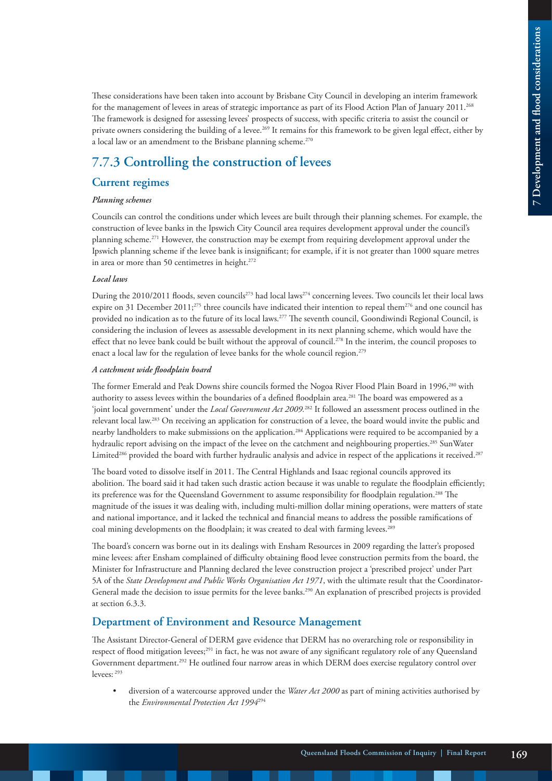These considerations have been taken into account by Brisbane City Council in developing an interim framework for the management of levees in areas of strategic importance as part of its Flood Action Plan of January 2011.268 The framework is designed for assessing levees' prospects of success, with specific criteria to assist the council or private owners considering the building of a levee.<sup>269</sup> It remains for this framework to be given legal effect, either by a local law or an amendment to the Brisbane planning scheme.<sup>270</sup>

### **7.7.3 Controlling the construction of levees**

#### **Current regimes**

#### *Planning schemes*

Councils can control the conditions under which levees are built through their planning schemes. For example, the construction of levee banks in the Ipswich City Council area requires development approval under the council's planning scheme.271 However, the construction may be exempt from requiring development approval under the Ipswich planning scheme if the levee bank is insignificant; for example, if it is not greater than 1000 square metres in area or more than 50 centimetres in height.<sup>272</sup>

#### *Local laws*

During the 2010/2011 floods, seven councils<sup>273</sup> had local laws<sup>274</sup> concerning levees. Two councils let their local laws expire on 31 December 2011;<sup>275</sup> three councils have indicated their intention to repeal them<sup>276</sup> and one council has provided no indication as to the future of its local laws.<sup>277</sup> The seventh council, Goondiwindi Regional Council, is considering the inclusion of levees as assessable development in its next planning scheme, which would have the effect that no levee bank could be built without the approval of council.<sup>278</sup> In the interim, the council proposes to enact a local law for the regulation of levee banks for the whole council region.<sup>279</sup>

#### *A catchment wide floodplain board*

The former Emerald and Peak Downs shire councils formed the Nogoa River Flood Plain Board in 1996,<sup>280</sup> with authority to assess levees within the boundaries of a defined floodplain area.281 The board was empowered as a 'joint local government' under the *Local Government Act 2009.*<sup>282</sup> It followed an assessment process outlined in the relevant local law.283 On receiving an application for construction of a levee, the board would invite the public and nearby landholders to make submissions on the application.284 Applications were required to be accompanied by a hydraulic report advising on the impact of the levee on the catchment and neighbouring properties.285 SunWater Limited<sup>286</sup> provided the board with further hydraulic analysis and advice in respect of the applications it received.<sup>287</sup>

The board voted to dissolve itself in 2011. The Central Highlands and Isaac regional councils approved its abolition. The board said it had taken such drastic action because it was unable to regulate the floodplain efficiently; its preference was for the Queensland Government to assume responsibility for floodplain regulation.<sup>288</sup> The magnitude of the issues it was dealing with, including multi-million dollar mining operations, were matters of state and national importance, and it lacked the technical and financial means to address the possible ramifications of coal mining developments on the floodplain; it was created to deal with farming levees.<sup>289</sup>

The board's concern was borne out in its dealings with Ensham Resources in 2009 regarding the latter's proposed mine levees: after Ensham complained of difficulty obtaining flood levee construction permits from the board, the Minister for Infrastructure and Planning declared the levee construction project a 'prescribed project' under Part 5A of the *State Development and Public Works Organisation Act 1971*, with the ultimate result that the Coordinator-General made the decision to issue permits for the levee banks.<sup>290</sup> An explanation of prescribed projects is provided at section 6.3.3.

#### **Department of Environment and Resource Management**

The Assistant Director-General of DERM gave evidence that DERM has no overarching role or responsibility in respect of flood mitigation levees;<sup>291</sup> in fact, he was not aware of any significant regulatory role of any Queensland Government department.292 He outlined four narrow areas in which DERM does exercise regulatory control over levees: 293

• diversion of a watercourse approved under the *Water Act 2000* as part of mining activities authorised by the *Environmental Protection Act 1994*294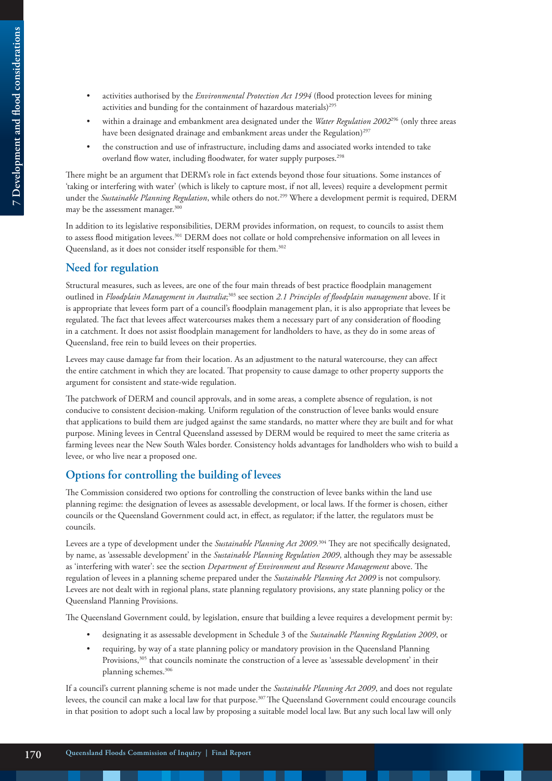- 7 Development and flood considerations **7 Development and flood considerations**
- activities authorised by the *Environmental Protection Act 1994* (flood protection levees for mining activities and bunding for the containment of hazardous materials)<sup>295</sup>
- within a drainage and embankment area designated under the *Water Regulation 2002*<sup>296</sup> (only three areas have been designated drainage and embankment areas under the Regulation)<sup>297</sup>
- the construction and use of infrastructure, including dams and associated works intended to take overland flow water, including floodwater, for water supply purposes.<sup>298</sup>

There might be an argument that DERM's role in fact extends beyond those four situations. Some instances of 'taking or interfering with water' (which is likely to capture most, if not all, levees) require a development permit under the *Sustainable Planning Regulation*, while others do not.299 Where a development permit is required, DERM may be the assessment manager.<sup>300</sup>

In addition to its legislative responsibilities, DERM provides information, on request, to councils to assist them to assess flood mitigation levees.<sup>301</sup> DERM does not collate or hold comprehensive information on all levees in Queensland, as it does not consider itself responsible for them.<sup>302</sup>

### **Need for regulation**

Structural measures, such as levees, are one of the four main threads of best practice floodplain management outlined in *Floodplain Management in Australia*; 303 see section *2.1 Principles of floodplain management* above. If it is appropriate that levees form part of a council's floodplain management plan, it is also appropriate that levees be regulated. The fact that levees affect watercourses makes them a necessary part of any consideration of flooding in a catchment. It does not assist floodplain management for landholders to have, as they do in some areas of Queensland, free rein to build levees on their properties.

Levees may cause damage far from their location. As an adjustment to the natural watercourse, they can affect the entire catchment in which they are located. That propensity to cause damage to other property supports the argument for consistent and state-wide regulation.

The patchwork of DERM and council approvals, and in some areas, a complete absence of regulation, is not conducive to consistent decision-making. Uniform regulation of the construction of levee banks would ensure that applications to build them are judged against the same standards, no matter where they are built and for what purpose. Mining levees in Central Queensland assessed by DERM would be required to meet the same criteria as farming levees near the New South Wales border. Consistency holds advantages for landholders who wish to build a levee, or who live near a proposed one.

### **Options for controlling the building of levees**

The Commission considered two options for controlling the construction of levee banks within the land use planning regime: the designation of levees as assessable development, or local laws. If the former is chosen, either councils or the Queensland Government could act, in effect, as regulator; if the latter, the regulators must be councils.

Levees are a type of development under the *Sustainable Planning Act 2009.*304 They are not specifically designated, by name, as 'assessable development' in the *Sustainable Planning Regulation 2009*, although they may be assessable as 'interfering with water': see the section *Department of Environment and Resource Management* above. The regulation of levees in a planning scheme prepared under the *Sustainable Planning Act 2009* is not compulsory. Levees are not dealt with in regional plans, state planning regulatory provisions, any state planning policy or the Queensland Planning Provisions.

The Queensland Government could, by legislation, ensure that building a levee requires a development permit by:

- designating it as assessable development in Schedule 3 of the *Sustainable Planning Regulation 2009*, or
- requiring, by way of a state planning policy or mandatory provision in the Queensland Planning Provisions,<sup>305</sup> that councils nominate the construction of a levee as 'assessable development' in their planning schemes.<sup>306</sup>

If a council's current planning scheme is not made under the *Sustainable Planning Act 2009*, and does not regulate levees, the council can make a local law for that purpose.307 The Queensland Government could encourage councils in that position to adopt such a local law by proposing a suitable model local law. But any such local law will only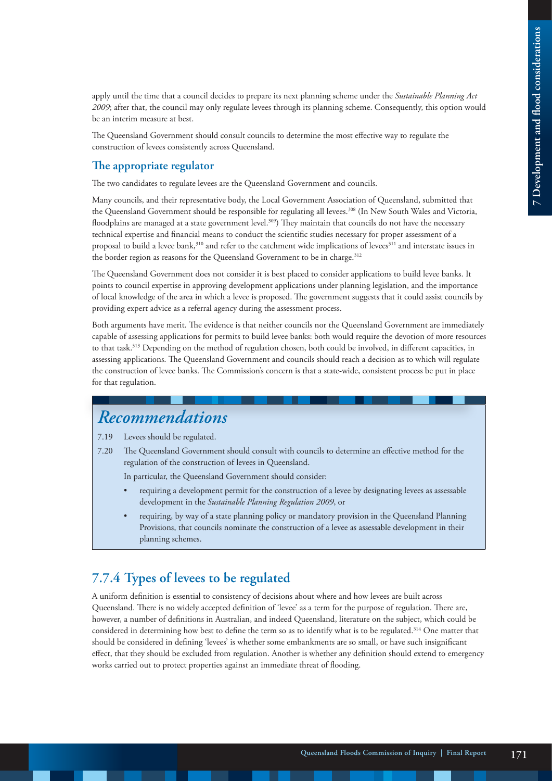apply until the time that a council decides to prepare its next planning scheme under the *Sustainable Planning Act 2009*; after that, the council may only regulate levees through its planning scheme. Consequently, this option would be an interim measure at best.

The Queensland Government should consult councils to determine the most effective way to regulate the construction of levees consistently across Queensland.

#### **The appropriate regulator**

The two candidates to regulate levees are the Queensland Government and councils.

Many councils, and their representative body, the Local Government Association of Queensland, submitted that the Queensland Government should be responsible for regulating all levees.<sup>308</sup> (In New South Wales and Victoria, floodplains are managed at a state government level.<sup>309</sup>) They maintain that councils do not have the necessary technical expertise and financial means to conduct the scientific studies necessary for proper assessment of a proposal to build a levee bank,<sup>310</sup> and refer to the catchment wide implications of levees<sup>311</sup> and interstate issues in the border region as reasons for the Queensland Government to be in charge.<sup>312</sup>

The Queensland Government does not consider it is best placed to consider applications to build levee banks. It points to council expertise in approving development applications under planning legislation, and the importance of local knowledge of the area in which a levee is proposed. The government suggests that it could assist councils by providing expert advice as a referral agency during the assessment process.

Both arguments have merit. The evidence is that neither councils nor the Queensland Government are immediately capable of assessing applications for permits to build levee banks: both would require the devotion of more resources to that task.313 Depending on the method of regulation chosen, both could be involved, in different capacities, in assessing applications. The Queensland Government and councils should reach a decision as to which will regulate the construction of levee banks. The Commission's concern is that a state-wide, consistent process be put in place for that regulation.

## *Recommendations*

7.19 Levees should be regulated.

7.20 The Queensland Government should consult with councils to determine an effective method for the regulation of the construction of levees in Queensland.

In particular, the Queensland Government should consider:

- requiring a development permit for the construction of a levee by designating levees as assessable development in the *Sustainable Planning Regulation 2009*, or
- requiring, by way of a state planning policy or mandatory provision in the Queensland Planning Provisions, that councils nominate the construction of a levee as assessable development in their planning schemes.

### **7.7.4 Types of levees to be regulated**

A uniform definition is essential to consistency of decisions about where and how levees are built across Queensland. There is no widely accepted definition of 'levee' as a term for the purpose of regulation. There are, however, a number of definitions in Australian, and indeed Queensland, literature on the subject, which could be considered in determining how best to define the term so as to identify what is to be regulated.314 One matter that should be considered in defining 'levees' is whether some embankments are so small, or have such insignificant effect, that they should be excluded from regulation. Another is whether any definition should extend to emergency works carried out to protect properties against an immediate threat of flooding.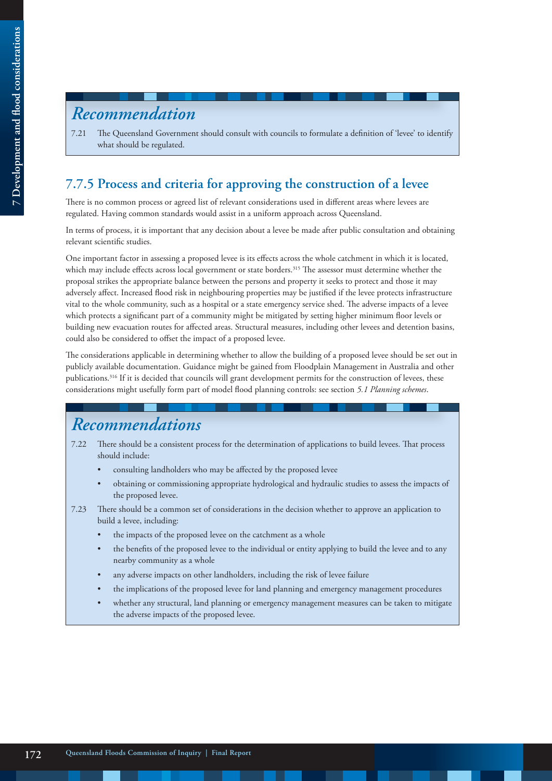# *Recommendation*

7.21 The Queensland Government should consult with councils to formulate a definition of 'levee' to identify what should be regulated.

### **7.7.5 Process and criteria for approving the construction of a levee**

There is no common process or agreed list of relevant considerations used in different areas where levees are regulated. Having common standards would assist in a uniform approach across Queensland.

In terms of process, it is important that any decision about a levee be made after public consultation and obtaining relevant scientific studies.

One important factor in assessing a proposed levee is its effects across the whole catchment in which it is located, which may include effects across local government or state borders.<sup>315</sup> The assessor must determine whether the proposal strikes the appropriate balance between the persons and property it seeks to protect and those it may adversely affect. Increased flood risk in neighbouring properties may be justified if the levee protects infrastructure vital to the whole community, such as a hospital or a state emergency service shed. The adverse impacts of a levee which protects a significant part of a community might be mitigated by setting higher minimum floor levels or building new evacuation routes for affected areas. Structural measures, including other levees and detention basins, could also be considered to offset the impact of a proposed levee.

The considerations applicable in determining whether to allow the building of a proposed levee should be set out in publicly available documentation. Guidance might be gained from Floodplain Management in Australia and other publications.316 If it is decided that councils will grant development permits for the construction of levees, these considerations might usefully form part of model flood planning controls: see section *5.1 Planning schemes*.

# *Recommendations*

- 7.22 There should be a consistent process for the determination of applications to build levees. That process should include:
	- consulting landholders who may be affected by the proposed levee
	- obtaining or commissioning appropriate hydrological and hydraulic studies to assess the impacts of the proposed levee.
- 7.23 There should be a common set of considerations in the decision whether to approve an application to build a levee, including:
	- the impacts of the proposed levee on the catchment as a whole
	- the benefits of the proposed levee to the individual or entity applying to build the levee and to any nearby community as a whole
	- any adverse impacts on other landholders, including the risk of levee failure
	- the implications of the proposed levee for land planning and emergency management procedures
	- whether any structural, land planning or emergency management measures can be taken to mitigate the adverse impacts of the proposed levee.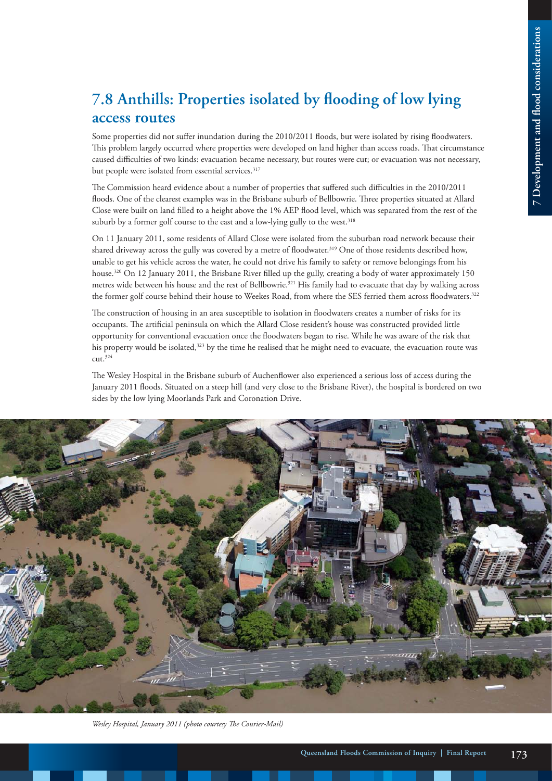# **7.8 Anthills: Properties isolated by flooding of low lying access routes**

Some properties did not suffer inundation during the 2010/2011 floods, but were isolated by rising floodwaters. This problem largely occurred where properties were developed on land higher than access roads. That circumstance caused difficulties of two kinds: evacuation became necessary, but routes were cut; or evacuation was not necessary, but people were isolated from essential services.<sup>317</sup>

The Commission heard evidence about a number of properties that suffered such difficulties in the 2010/2011 floods. One of the clearest examples was in the Brisbane suburb of Bellbowrie. Three properties situated at Allard Close were built on land filled to a height above the 1% AEP flood level, which was separated from the rest of the suburb by a former golf course to the east and a low-lying gully to the west.<sup>318</sup>

On 11 January 2011, some residents of Allard Close were isolated from the suburban road network because their shared driveway across the gully was covered by a metre of floodwater.319 One of those residents described how, unable to get his vehicle across the water, he could not drive his family to safety or remove belongings from his house.<sup>320</sup> On 12 January 2011, the Brisbane River filled up the gully, creating a body of water approximately 150 metres wide between his house and the rest of Bellbowrie.<sup>321</sup> His family had to evacuate that day by walking across the former golf course behind their house to Weekes Road, from where the SES ferried them across floodwaters.<sup>322</sup>

The construction of housing in an area susceptible to isolation in floodwaters creates a number of risks for its occupants. The artificial peninsula on which the Allard Close resident's house was constructed provided little opportunity for conventional evacuation once the floodwaters began to rise. While he was aware of the risk that his property would be isolated,<sup>323</sup> by the time he realised that he might need to evacuate, the evacuation route was cut.324

The Wesley Hospital in the Brisbane suburb of Auchenflower also experienced a serious loss of access during the January 2011 floods. Situated on a steep hill (and very close to the Brisbane River), the hospital is bordered on two sides by the low lying Moorlands Park and Coronation Drive.



*Wesley Hospital, January 2011 (photo courtesy The Courier-Mail)*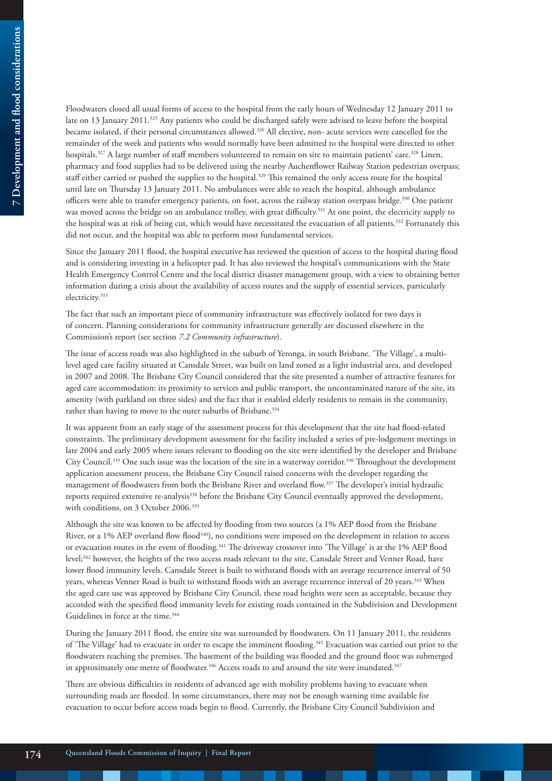Floodwaters closed all usual forms of access to the hospital from the early hours of Wednesday 12 January 2011 to late on 13 January 2011.<sup>325</sup> Any patients who could be discharged safely were advised to leave before the hospital became isolated, if their personal circumstances allowed.<sup>326</sup> All elective, non- acute services were cancelled for the remainder of the week and patients who would normally have been admitted to the hospital were directed to other hospitals.<sup>327</sup> A large number of staff members volunteered to remain on site to maintain patients' care.<sup>328</sup> Linen, pharmacy and food supplies had to be delivered using the nearby Auchenflower Railway Station pedestrian overpass; staff either carried or pushed the supplies to the hospital.<sup>329</sup> This remained the only access route for the hospital until late on Thursday 13 January 2011. No ambulances were able to reach the hospital, although ambulance officers were able to transfer emergency patients, on foot, across the railway station overpass bridge.330 One patient was moved across the bridge on an ambulance trolley, with great difficulty.<sup>331</sup> At one point, the electricity supply to the hospital was at risk of being cut, which would have necessitated the evacuation of all patients.332 Fortunately this did not occur, and the hospital was able to perform most fundamental services.

Since the January 2011 flood, the hospital executive has reviewed the question of access to the hospital during flood and is considering investing in a helicopter pad. It has also reviewed the hospital's communications with the State Health Emergency Control Centre and the local district disaster management group, with a view to obtaining better information during a crisis about the availability of access routes and the supply of essential services, particularly electricity.333

The fact that such an important piece of community infrastructure was effectively isolated for two days is of concern. Planning considerations for community infrastructure generally are discussed elsewhere in the Commission's report (see section *7.2 Community infrastructure*).

The issue of access roads was also highlighted in the suburb of Yeronga, in south Brisbane. 'The Village', a multilevel aged care facility situated at Cansdale Street, was built on land zoned as a light industrial area, and developed in 2007 and 2008. The Brisbane City Council considered that the site presented a number of attractive features for aged care accommodation: its proximity to services and public transport, the uncontaminated nature of the site, its amenity (with parkland on three sides) and the fact that it enabled elderly residents to remain in the community, rather than having to move to the outer suburbs of Brisbane.<sup>334</sup>

It was apparent from an early stage of the assessment process for this development that the site had flood-related constraints. The preliminary development assessment for the facility included a series of pre-lodgement meetings in late 2004 and early 2005 where issues relevant to flooding on the site were identified by the developer and Brisbane City Council.335 One such issue was the location of the site in a waterway corridor.336 Throughout the development application assessment process, the Brisbane City Council raised concerns with the developer regarding the management of floodwaters from both the Brisbane River and overland flow.337 The developer's initial hydraulic reports required extensive re-analysis338 before the Brisbane City Council eventually approved the development, with conditions, on 3 October 2006.<sup>339</sup>

Although the site was known to be affected by flooding from two sources (a 1% AEP flood from the Brisbane River, or a 1% AEP overland flow flood<sup>340</sup>), no conditions were imposed on the development in relation to access or evacuation routes in the event of flooding.<sup>341</sup> The driveway crossover into 'The Village' is at the 1% AEP flood level;342 however, the heights of the two access roads relevant to the site, Cansdale Street and Venner Road, have lower flood immunity levels. Cansdale Street is built to withstand floods with an average recurrence interval of 50 years, whereas Venner Road is built to withstand floods with an average recurrence interval of 20 years.<sup>343</sup> When the aged care use was approved by Brisbane City Council, these road heights were seen as acceptable, because they accorded with the specified flood immunity levels for existing roads contained in the Subdivision and Development Guidelines in force at the time.<sup>344</sup>

During the January 2011 flood, the entire site was surrounded by floodwaters. On 11 January 2011, the residents of 'The Village' had to evacuate in order to escape the imminent flooding.<sup>345</sup> Evacuation was carried out prior to the floodwaters reaching the premises. The basement of the building was flooded and the ground floor was submerged in approximately one metre of floodwater.<sup>346</sup> Access roads to and around the site were inundated.<sup>347</sup>

There are obvious difficulties in residents of advanced age with mobility problems having to evacuate when surrounding roads are flooded. In some circumstances, there may not be enough warning time available for evacuation to occur before access roads begin to flood. Currently, the Brisbane City Council Subdivision and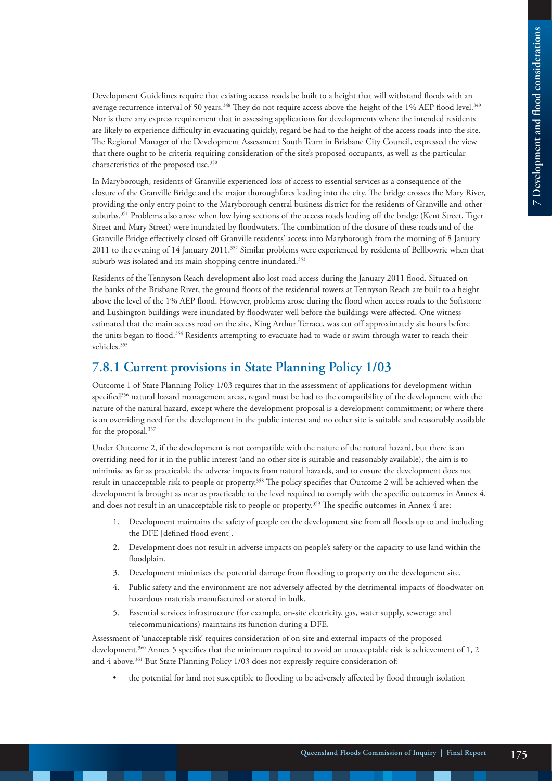Development Guidelines require that existing access roads be built to a height that will withstand floods with an average recurrence interval of 50 years.<sup>348</sup> They do not require access above the height of the 1% AEP flood level.<sup>349</sup> Nor is there any express requirement that in assessing applications for developments where the intended residents are likely to experience difficulty in evacuating quickly, regard be had to the height of the access roads into the site. The Regional Manager of the Development Assessment South Team in Brisbane City Council, expressed the view that there ought to be criteria requiring consideration of the site's proposed occupants, as well as the particular characteristics of the proposed use.<sup>350</sup>

In Maryborough, residents of Granville experienced loss of access to essential services as a consequence of the closure of the Granville Bridge and the major thoroughfares leading into the city. The bridge crosses the Mary River, providing the only entry point to the Maryborough central business district for the residents of Granville and other suburbs.<sup>351</sup> Problems also arose when low lying sections of the access roads leading off the bridge (Kent Street, Tiger Street and Mary Street) were inundated by floodwaters. The combination of the closure of these roads and of the Granville Bridge effectively closed off Granville residents' access into Maryborough from the morning of 8 January 2011 to the evening of 14 January 2011.352 Similar problems were experienced by residents of Bellbowrie when that suburb was isolated and its main shopping centre inundated.<sup>353</sup>

Residents of the Tennyson Reach development also lost road access during the January 2011 flood. Situated on the banks of the Brisbane River, the ground floors of the residential towers at Tennyson Reach are built to a height above the level of the 1% AEP flood. However, problems arose during the flood when access roads to the Softstone and Lushington buildings were inundated by floodwater well before the buildings were affected. One witness estimated that the main access road on the site, King Arthur Terrace, was cut off approximately six hours before the units began to flood.354 Residents attempting to evacuate had to wade or swim through water to reach their vehicles.355

#### **7.8.1 Current provisions in State Planning Policy 1/03**

Outcome 1 of State Planning Policy 1/03 requires that in the assessment of applications for development within specified<sup>356</sup> natural hazard management areas, regard must be had to the compatibility of the development with the nature of the natural hazard, except where the development proposal is a development commitment; or where there is an overriding need for the development in the public interest and no other site is suitable and reasonably available for the proposal.357

Under Outcome 2, if the development is not compatible with the nature of the natural hazard, but there is an overriding need for it in the public interest (and no other site is suitable and reasonably available), the aim is to minimise as far as practicable the adverse impacts from natural hazards, and to ensure the development does not result in unacceptable risk to people or property.358 The policy specifies that Outcome 2 will be achieved when the development is brought as near as practicable to the level required to comply with the specific outcomes in Annex 4, and does not result in an unacceptable risk to people or property.<sup>359</sup> The specific outcomes in Annex 4 are:

- 1. Development maintains the safety of people on the development site from all floods up to and including the DFE [defined flood event].
- 2. Development does not result in adverse impacts on people's safety or the capacity to use land within the floodplain.
- 3. Development minimises the potential damage from flooding to property on the development site.
- 4. Public safety and the environment are not adversely affected by the detrimental impacts of floodwater on hazardous materials manufactured or stored in bulk.
- 5. Essential services infrastructure (for example, on-site electricity, gas, water supply, sewerage and telecommunications) maintains its function during a DFE.

Assessment of 'unacceptable risk' requires consideration of on-site and external impacts of the proposed development.360 Annex 5 specifies that the minimum required to avoid an unacceptable risk is achievement of 1, 2 and 4 above.<sup>361</sup> But State Planning Policy 1/03 does not expressly require consideration of:

• the potential for land not susceptible to flooding to be adversely affected by flood through isolation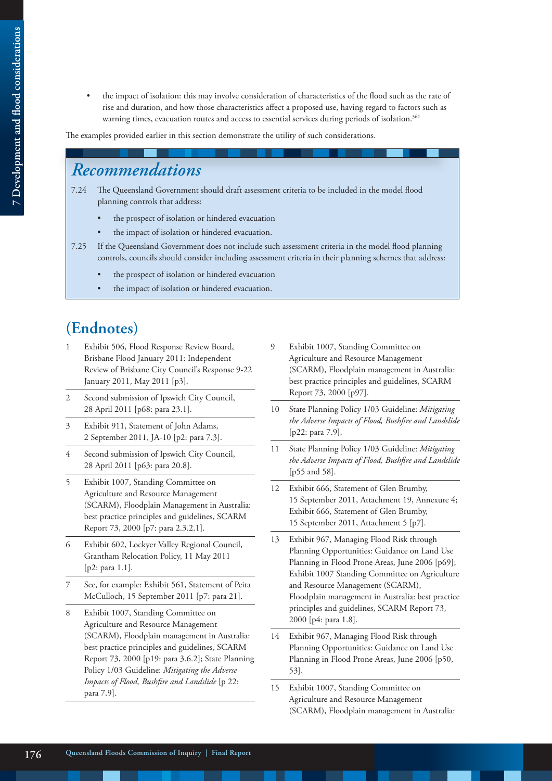- 7 Development and flood considerations **7 Development and flood considerations**
- the impact of isolation: this may involve consideration of characteristics of the flood such as the rate of rise and duration, and how those characteristics affect a proposed use, having regard to factors such as warning times, evacuation routes and access to essential services during periods of isolation.<sup>362</sup>

The examples provided earlier in this section demonstrate the utility of such considerations.

# *Recommendations*

- 7.24 The Queensland Government should draft assessment criteria to be included in the model flood planning controls that address:
	- the prospect of isolation or hindered evacuation
	- the impact of isolation or hindered evacuation.
- 7.25 If the Queensland Government does not include such assessment criteria in the model flood planning controls, councils should consider including assessment criteria in their planning schemes that address:
	- the prospect of isolation or hindered evacuation
	- the impact of isolation or hindered evacuation.

# **(Endnotes)**

- Exhibit 506, Flood Response Review Board, Brisbane Flood January 2011: Independent Review of Brisbane City Council's Response 9-22 January 2011, May 2011 [p3].
- 2 Second submission of Ipswich City Council, 28 April 2011 [p68: para 23.1].
- 3 Exhibit 911, Statement of John Adams, 2 September 2011, JA-10 [p2: para 7.3].
- 4 Second submission of Ipswich City Council, 28 April 2011 [p63: para 20.8].
- 5 Exhibit 1007, Standing Committee on Agriculture and Resource Management (SCARM), Floodplain Management in Australia: best practice principles and guidelines, SCARM Report 73, 2000 [p7: para 2.3.2.1].
- 6 Exhibit 602, Lockyer Valley Regional Council, Grantham Relocation Policy, 11 May 2011 [p2: para 1.1].
- 7 See, for example: Exhibit 561, Statement of Peita McCulloch, 15 September 2011 [p7: para 21].
- 8 Exhibit 1007, Standing Committee on Agriculture and Resource Management (SCARM), Floodplain management in Australia: best practice principles and guidelines, SCARM Report 73, 2000 [p19: para 3.6.2]; State Planning Policy 1/03 Guideline: *Mitigating the Adverse Impacts of Flood, Bushfire and Landslide* [p 22: para 7.9].
- 9 Exhibit 1007, Standing Committee on Agriculture and Resource Management (SCARM), Floodplain management in Australia: best practice principles and guidelines, SCARM Report 73, 2000 [p97].
- 10 State Planning Policy 1/03 Guideline: *Mitigating the Adverse Impacts of Flood, Bushfire and Landslide* [p22: para 7.9].
- 11 State Planning Policy 1/03 Guideline: *Mitigating the Adverse Impacts of Flood, Bushfire and Landslide* [p55 and 58].
- 12 Exhibit 666, Statement of Glen Brumby, 15 September 2011, Attachment 19, Annexure 4; Exhibit 666, Statement of Glen Brumby, 15 September 2011, Attachment 5 [p7].
- 13 Exhibit 967, Managing Flood Risk through Planning Opportunities: Guidance on Land Use Planning in Flood Prone Areas, June 2006 [p69]; Exhibit 1007 Standing Committee on Agriculture and Resource Management (SCARM), Floodplain management in Australia: best practice principles and guidelines, SCARM Report 73, 2000 [p4: para 1.8].
- 14 Exhibit 967, Managing Flood Risk through Planning Opportunities: Guidance on Land Use Planning in Flood Prone Areas, June 2006 [p50, 53].
- 15 Exhibit 1007, Standing Committee on Agriculture and Resource Management (SCARM), Floodplain management in Australia: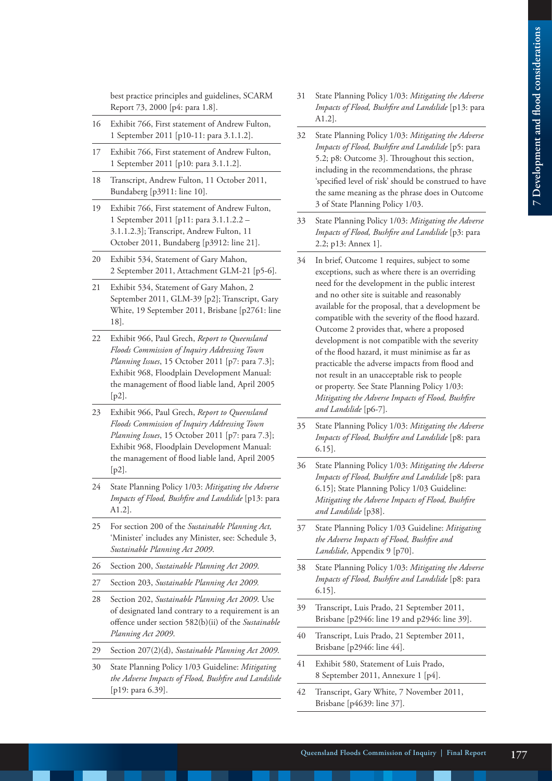best practice principles and guidelines, SCARM Report 73, 2000 [p4: para 1.8].

- 16 Exhibit 766, First statement of Andrew Fulton, 1 September 2011 [p10-11: para 3.1.1.2].
- 17 Exhibit 766, First statement of Andrew Fulton, 1 September 2011 [p10: para 3.1.1.2].
- 18 Transcript, Andrew Fulton, 11 October 2011, Bundaberg [p3911: line 10].
- 19 Exhibit 766, First statement of Andrew Fulton, 1 September 2011 [p11: para 3.1.1.2.2 – 3.1.1.2.3]; Transcript, Andrew Fulton, 11 October 2011, Bundaberg [p3912: line 21].
- 20 Exhibit 534, Statement of Gary Mahon, 2 September 2011, Attachment GLM-21 [p5-6].
- 21 Exhibit 534, Statement of Gary Mahon, 2 September 2011, GLM-39 [p2]; Transcript, Gary White, 19 September 2011, Brisbane [p2761: line 18].
- 22 Exhibit 966, Paul Grech, *Report to Queensland Floods Commission of Inquiry Addressing Town Planning Issues*, 15 October 2011 [p7: para 7.3]; Exhibit 968, Floodplain Development Manual: the management of flood liable land, April 2005 [p2].
- 23 Exhibit 966, Paul Grech, *Report to Queensland Floods Commission of Inquiry Addressing Town Planning Issues*, 15 October 2011 [p7: para 7.3]; Exhibit 968, Floodplain Development Manual: the management of flood liable land, April 2005 [p2].
- 24 State Planning Policy 1/03: *Mitigating the Adverse Impacts of Flood, Bushfire and Landslide* [p13: para A1.2].
- 25 For section 200 of the *Sustainable Planning Act,*  'Minister' includes any Minister, see: Schedule 3, *Sustainable Planning Act 2009*.
- 26 Section 200, *Sustainable Planning Act 2009*.
- 27 Section 203, *Sustainable Planning Act 2009.*
- 28 Section 202, *Sustainable Planning Act 2009*. Use of designated land contrary to a requirement is an offence under section 582(b)(ii) of the *Sustainable Planning Act 2009*.
- 29 Section 207(2)(d), *Sustainable Planning Act 2009*.
- 30 State Planning Policy 1/03 Guideline: *Mitigating the Adverse Impacts of Flood, Bushfire and Landslide* [p19: para 6.39].
- 31 State Planning Policy 1/03: *Mitigating the Adverse Impacts of Flood, Bushfire and Landslide* [p13: para A1.2].
- 32 State Planning Policy 1/03: *Mitigating the Adverse Impacts of Flood, Bushfire and Landslide* [p5: para 5.2; p8: Outcome 3]. Throughout this section, including in the recommendations, the phrase 'specified level of risk' should be construed to have the same meaning as the phrase does in Outcome 3 of State Planning Policy 1/03.
- 33 State Planning Policy 1/03: *Mitigating the Adverse Impacts of Flood, Bushfire and Landslide* [p3: para 2.2; p13: Annex 1].
- 34 In brief, Outcome 1 requires, subject to some exceptions, such as where there is an overriding need for the development in the public interest and no other site is suitable and reasonably available for the proposal, that a development be compatible with the severity of the flood hazard. Outcome 2 provides that, where a proposed development is not compatible with the severity of the flood hazard, it must minimise as far as practicable the adverse impacts from flood and not result in an unacceptable risk to people or property. See State Planning Policy 1/03: *Mitigating the Adverse Impacts of Flood, Bushfire and Landslide* [p6-7].
- 35 State Planning Policy 1/03: *Mitigating the Adverse Impacts of Flood, Bushfire and Landslide* [p8: para 6.15].
- 36 State Planning Policy 1/03: *Mitigating the Adverse Impacts of Flood, Bushfire and Landslide* [p8: para 6.15]; State Planning Policy 1/03 Guideline: *Mitigating the Adverse Impacts of Flood, Bushfire and Landslide* [p38].
- 37 State Planning Policy 1/03 Guideline: *Mitigating the Adverse Impacts of Flood, Bushfire and Landslide,* Appendix 9 [p70].
- 38 State Planning Policy 1/03: *Mitigating the Adverse Impacts of Flood, Bushfire and Landslide* [p8: para 6.15].
- 39 Transcript, Luis Prado, 21 September 2011, Brisbane [p2946: line 19 and p2946: line 39].
- 40 Transcript, Luis Prado, 21 September 2011, Brisbane [p2946: line 44].
- 41 Exhibit 580, Statement of Luis Prado, 8 September 2011, Annexure 1 [p4].
- 42 Transcript, Gary White, 7 November 2011, Brisbane [p4639: line 37].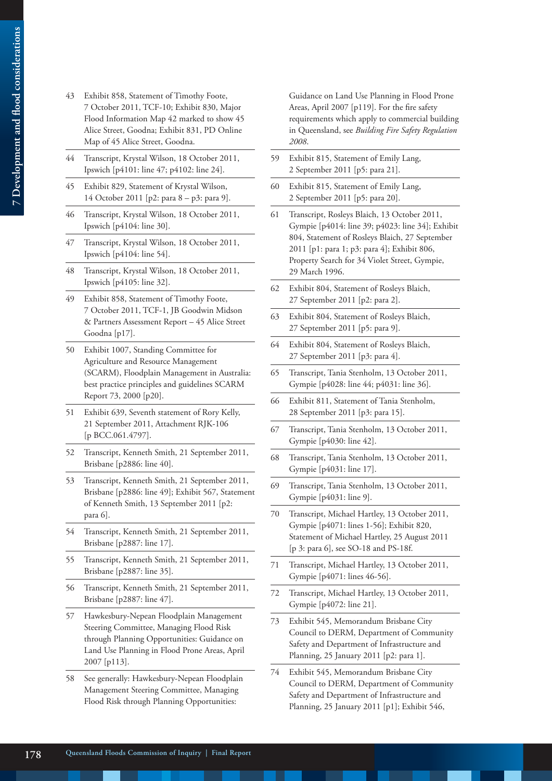- 43 Exhibit 858, Statement of Timothy Foote, 7 October 2011, TCF-10; Exhibit 830, Major Flood Information Map 42 marked to show 45 Alice Street, Goodna; Exhibit 831, PD Online Map of 45 Alice Street, Goodna.
- 44 Transcript, Krystal Wilson, 18 October 2011, Ipswich [p4101: line 47; p4102: line 24].
- 45 Exhibit 829, Statement of Krystal Wilson, 14 October 2011 [p2: para 8 – p3: para 9].
- 46 Transcript, Krystal Wilson, 18 October 2011, Ipswich [p4104: line 30].
- 47 Transcript, Krystal Wilson, 18 October 2011, Ipswich [p4104: line 54].
- 48 Transcript, Krystal Wilson, 18 October 2011, Ipswich [p4105: line 32].
- 49 Exhibit 858, Statement of Timothy Foote, 7 October 2011, TCF-1, JB Goodwin Midson & Partners Assessment Report – 45 Alice Street Goodna [p17].
- 50 Exhibit 1007, Standing Committee for Agriculture and Resource Management (SCARM), Floodplain Management in Australia: best practice principles and guidelines SCARM Report 73, 2000 [p20].
- 51 Exhibit 639, Seventh statement of Rory Kelly, 21 September 2011, Attachment RJK-106 [p BCC.061.4797].
- 52 Transcript, Kenneth Smith, 21 September 2011, Brisbane [p2886: line 40].
- 53 Transcript, Kenneth Smith, 21 September 2011, Brisbane [p2886: line 49]; Exhibit 567, Statement of Kenneth Smith, 13 September 2011 [p2: para 6].
- 54 Transcript, Kenneth Smith, 21 September 2011, Brisbane [p2887: line 17].
- 55 Transcript, Kenneth Smith, 21 September 2011, Brisbane [p2887: line 35].
- 56 Transcript, Kenneth Smith, 21 September 2011, Brisbane [p2887: line 47].
- 57 Hawkesbury-Nepean Floodplain Management Steering Committee, Managing Flood Risk through Planning Opportunities: Guidance on Land Use Planning in Flood Prone Areas, April 2007 [p113].
- 58 See generally: Hawkesbury-Nepean Floodplain Management Steering Committee, Managing Flood Risk through Planning Opportunities:

Guidance on Land Use Planning in Flood Prone Areas, April 2007 [p119]. For the fire safety requirements which apply to commercial building in Queensland, see *Building Fire Safety Regulation 2008*.

- 59 Exhibit 815, Statement of Emily Lang, 2 September 2011 [p5: para 21].
- 60 Exhibit 815, Statement of Emily Lang, 2 September 2011 [p5: para 20].
- 61 Transcript, Rosleys Blaich, 13 October 2011, Gympie [p4014: line 39; p4023: line 34]; Exhibit 804, Statement of Rosleys Blaich, 27 September 2011 [p1: para 1; p3: para 4]; Exhibit 806, Property Search for 34 Violet Street, Gympie, 29 March 1996.
- 62 Exhibit 804, Statement of Rosleys Blaich, 27 September 2011 [p2: para 2].
- 63 Exhibit 804, Statement of Rosleys Blaich, 27 September 2011 [p5: para 9].
- 64 Exhibit 804, Statement of Rosleys Blaich, 27 September 2011 [p3: para 4].
- 65 Transcript, Tania Stenholm, 13 October 2011, Gympie [p4028: line 44; p4031: line 36].
- 66 Exhibit 811, Statement of Tania Stenholm, 28 September 2011 [p3: para 15].
- 67 Transcript, Tania Stenholm, 13 October 2011, Gympie [p4030: line 42].
- 68 Transcript, Tania Stenholm, 13 October 2011, Gympie [p4031: line 17].
- 69 Transcript, Tania Stenholm, 13 October 2011, Gympie [p4031: line 9].
- 70 Transcript, Michael Hartley, 13 October 2011, Gympie [p4071: lines 1-56]; Exhibit 820, Statement of Michael Hartley, 25 August 2011 [p 3: para 6], see SO-18 and PS-18f.
- 71 Transcript, Michael Hartley, 13 October 2011, Gympie [p4071: lines 46-56].
- 72 Transcript, Michael Hartley, 13 October 2011, Gympie [p4072: line 21].
- 73 Exhibit 545, Memorandum Brisbane City Council to DERM, Department of Community Safety and Department of Infrastructure and Planning, 25 January 2011 [p2: para 1].
- 74 Exhibit 545, Memorandum Brisbane City Council to DERM, Department of Community Safety and Department of Infrastructure and Planning, 25 January 2011 [p1]; Exhibit 546,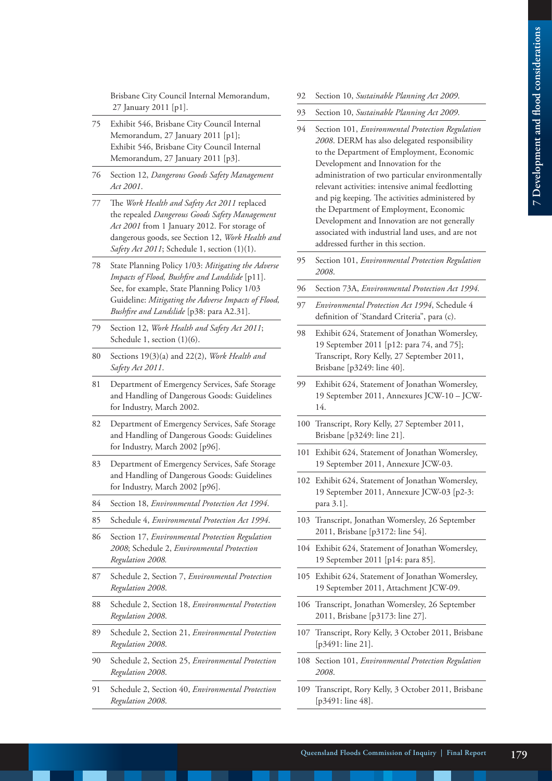Brisbane City Council Internal Memorandum, 27 January 2011 [p1].

- 75 Exhibit 546, Brisbane City Council Internal Memorandum, 27 January 2011 [p1]; Exhibit 546, Brisbane City Council Internal Memorandum, 27 January 2011 [p3].
- 76 Section 12, *Dangerous Goods Safety Management Act 2001*.
- 77 The *Work Health and Safety Act 2011* replaced the repealed *Dangerous Goods Safety Management Act 2001* from 1 January 2012. For storage of dangerous goods, see Section 12, *Work Health and Safety Act 2011*; Schedule 1, section (1)(1).
- 78 State Planning Policy 1/03: *Mitigating the Adverse Impacts of Flood, Bushfire and Landslide* [p11]. See, for example, State Planning Policy 1/03 Guideline: *Mitigating the Adverse Impacts of Flood, Bushfire and Landslide* [p38: para A2.31].
- 79 Section 12, *Work Health and Safety Act 2011*; Schedule 1, section  $(1)(6)$ .
- 80 Sections 19(3)(a) and 22(2), *Work Health and Safety Act 2011*.
- 81 Department of Emergency Services, Safe Storage and Handling of Dangerous Goods: Guidelines for Industry, March 2002.
- 82 Department of Emergency Services, Safe Storage and Handling of Dangerous Goods: Guidelines for Industry, March 2002 [p96].
- 83 Department of Emergency Services, Safe Storage and Handling of Dangerous Goods: Guidelines for Industry, March 2002 [p96].
- 84 Section 18, *Environmental Protection Act 1994*.
- 85 Schedule 4, *Environmental Protection Act 1994*.
- 86 Section 17, *Environmental Protection Regulation 2008*; Schedule 2, *Environmental Protection Regulation 2008.*
- 87 Schedule 2, Section 7, *Environmental Protection Regulation 2008*.
- 88 Schedule 2, Section 18, *Environmental Protection Regulation 2008*.
- 89 Schedule 2, Section 21, *Environmental Protection Regulation 2008*.
- 90 Schedule 2, Section 25, *Environmental Protection Regulation 2008*.
- 91 Schedule 2, Section 40, *Environmental Protection Regulation 2008*.
- 92 Section 10, *Sustainable Planning Act 2009*.
- 93 Section 10, *Sustainable Planning Act 2009*.
- 94 Section 101, *Environmental Protection Regulation 2008*. DERM has also delegated responsibility to the Department of Employment, Economic Development and Innovation for the administration of two particular environmentally relevant activities: intensive animal feedlotting and pig keeping. The activities administered by the Department of Employment, Economic Development and Innovation are not generally associated with industrial land uses, and are not addressed further in this section.
- 95 Section 101, *Environmental Protection Regulation 2008*.
- 96 Section 73A, *Environmental Protection Act 1994.*
- 97 *Environmental Protection Act 1994*, Schedule 4 definition of 'Standard Criteria", para (c).
- 98 Exhibit 624, Statement of Jonathan Womersley, 19 September 2011 [p12: para 74, and 75]; Transcript, Rory Kelly, 27 September 2011, Brisbane [p3249: line 40].
- 99 Exhibit 624, Statement of Jonathan Womersley, 19 September 2011, Annexures JCW-10 – JCW-14.
- 100 Transcript, Rory Kelly, 27 September 2011, Brisbane [p3249: line 21].
- 101 Exhibit 624, Statement of Jonathan Womersley, 19 September 2011, Annexure JCW-03.
- 102 Exhibit 624, Statement of Jonathan Womersley, 19 September 2011, Annexure JCW-03 [p2-3: para 3.1].
- 103 Transcript, Jonathan Womersley, 26 September 2011, Brisbane [p3172: line 54].
- 104 Exhibit 624, Statement of Jonathan Womersley, 19 September 2011 [p14: para 85].
- 105 Exhibit 624, Statement of Jonathan Womersley, 19 September 2011, Attachment JCW-09.
- 106 Transcript, Jonathan Womersley, 26 September 2011, Brisbane [p3173: line 27].
- 107 Transcript, Rory Kelly, 3 October 2011, Brisbane [p3491: line 21].
- 108 Section 101, *Environmental Protection Regulation 2008*.
- 109 Transcript, Rory Kelly, 3 October 2011, Brisbane [p3491: line 48].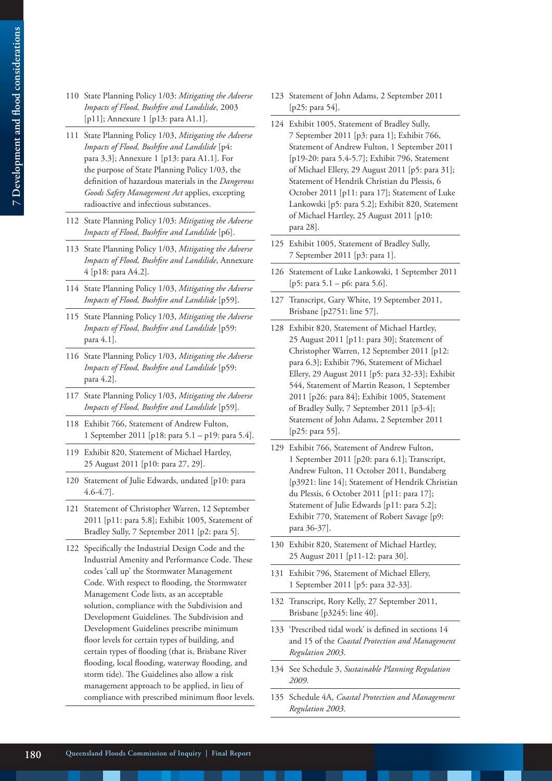- 110 State Planning Policy 1/03: *Mitigating the Adverse Impacts of Flood, Bushfire and Landslide,* 2003 [p11]; Annexure 1 [p13: para A1.1].
- 111 State Planning Policy 1/03, *Mitigating the Adverse Impacts of Flood, Bushfire and Landslide* [p4: para 3.3]; Annexure 1 [p13: para A1.1]. For the purpose of State Planning Policy 1/03, the definition of hazardous materials in the *Dangerous Goods Safety Management Act* applies, excepting radioactive and infectious substances.
- 112 State Planning Policy 1/03: *Mitigating the Adverse Impacts of Flood, Bushfire and Landslide* [p6].
- 113 State Planning Policy 1/03, *Mitigating the Adverse Impacts of Flood, Bushfire and Landslide*, Annexure 4 [p18: para A4.2].
- 114 State Planning Policy 1/03, *Mitigating the Adverse Impacts of Flood, Bushfire and Landslide* [p59].
- 115 State Planning Policy 1/03, *Mitigating the Adverse Impacts of Flood, Bushfire and Landslide* [p59: para 4.1].
- 116 State Planning Policy 1/03, *Mitigating the Adverse Impacts of Flood, Bushfire and Landslide* [p59: para 4.2].
- 117 State Planning Policy 1/03, *Mitigating the Adverse Impacts of Flood, Bushfire and Landslide* [p59].
- 118 Exhibit 766, Statement of Andrew Fulton, 1 September 2011 [p18: para 5.1 – p19: para 5.4].
- 119 Exhibit 820, Statement of Michael Hartley, 25 August 2011 [p10: para 27, 29].
- 120 Statement of Julie Edwards, undated [p10: para 4.6-4.7].
- 121 Statement of Christopher Warren, 12 September 2011 [p11: para 5.8]; Exhibit 1005, Statement of Bradley Sully, 7 September 2011 [p2: para 5].
- 122 Specifically the Industrial Design Code and the Industrial Amenity and Performance Code. These codes 'call up' the Stormwater Management Code. With respect to flooding, the Stormwater Management Code lists, as an acceptable solution, compliance with the Subdivision and Development Guidelines. The Subdivision and Development Guidelines prescribe minimum floor levels for certain types of building, and certain types of flooding (that is, Brisbane River flooding, local flooding, waterway flooding, and storm tide). The Guidelines also allow a risk management approach to be applied, in lieu of compliance with prescribed minimum floor levels.
- 123 Statement of John Adams, 2 September 2011 [p25: para 54].
- 124 Exhibit 1005, Statement of Bradley Sully, 7 September 2011 [p3: para 1]; Exhibit 766, Statement of Andrew Fulton, 1 September 2011 [p19-20: para 5.4-5.7]; Exhibit 796, Statement of Michael Ellery, 29 August 2011 [p5: para 31]; Statement of Hendrik Christian du Plessis, 6 October 2011 [p11: para 17]; Statement of Luke Lankowski [p5: para 5.2]; Exhibit 820, Statement of Michael Hartley, 25 August 2011 [p10: para 28].
- 125 Exhibit 1005, Statement of Bradley Sully, 7 September 2011 [p3: para 1].
- 126 Statement of Luke Lankowski, 1 September 2011 [p5: para 5.1 – p6: para 5.6].
- 127 Transcript, Gary White, 19 September 2011, Brisbane [p2751: line 57].
- 128 Exhibit 820, Statement of Michael Hartley, 25 August 2011 [p11: para 30]; Statement of Christopher Warren, 12 September 2011 [p12: para 6.3]; Exhibit 796, Statement of Michael Ellery, 29 August 2011 [p5: para 32-33]; Exhibit 544, Statement of Martin Reason, 1 September 2011 [p26: para 84]; Exhibit 1005, Statement of Bradley Sully, 7 September 2011 [p3-4]; Statement of John Adams, 2 September 2011 [p25: para 55].
- 129 Exhibit 766, Statement of Andrew Fulton, 1 September 2011 [p20: para 6.1]; Transcript, Andrew Fulton, 11 October 2011, Bundaberg [p3921: line 14]; Statement of Hendrik Christian du Plessis, 6 October 2011 [p11: para 17]; Statement of Julie Edwards [p11: para 5.2]; Exhibit 770, Statement of Robert Savage [p9: para 36-37].
- 130 Exhibit 820, Statement of Michael Hartley, 25 August 2011 [p11-12: para 30].
- 131 Exhibit 796, Statement of Michael Ellery, 1 September 2011 [p5: para 32-33].
- 132 Transcript, Rory Kelly, 27 September 2011, Brisbane [p3245: line 40].
- 133 'Prescribed tidal work' is defined in sections 14 and 15 of the *Coastal Protection and Management Regulation 2003*.
- 134 See Schedule 3, *Sustainable Planning Regulation 2009*.
- 135 Schedule 4A, *Coastal Protection and Management Regulation 2003*.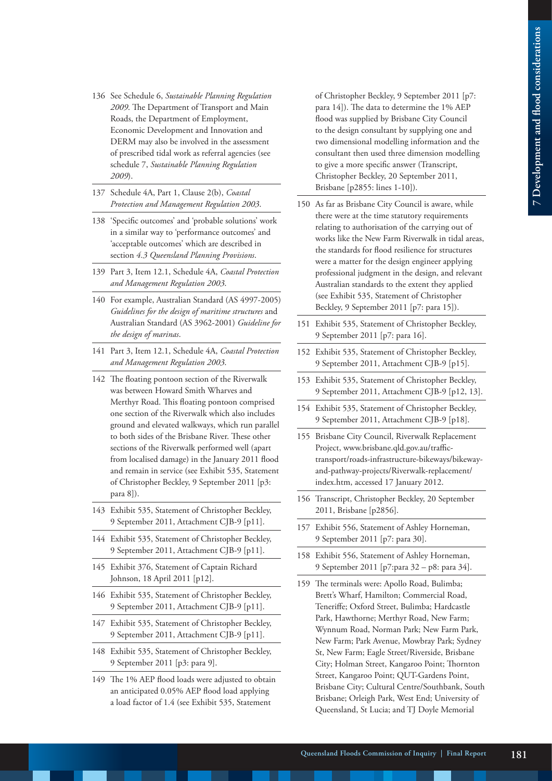- 136 See Schedule 6, *Sustainable Planning Regulation 2009*. The Department of Transport and Main Roads, the Department of Employment, Economic Development and Innovation and DERM may also be involved in the assessment of prescribed tidal work as referral agencies (see schedule 7, *Sustainable Planning Regulation 2009*).
- 137 Schedule 4A, Part 1, Clause 2(b), *Coastal Protection and Management Regulation 2003*.
- 138 'Specific outcomes' and 'probable solutions' work in a similar way to 'performance outcomes' and 'acceptable outcomes' which are described in section *4.3 Queensland Planning Provisions*.
- 139 Part 3, Item 12.1, Schedule 4A, *Coastal Protection and Management Regulation 2003*.
- 140 For example, Australian Standard (AS 4997-2005) *Guidelines for the design of maritime structures* and Australian Standard (AS 3962-2001) *Guideline for the design of marinas*.
- 141 Part 3, Item 12.1, Schedule 4A, *Coastal Protection and Management Regulation 2003*.
- 142 The floating pontoon section of the Riverwalk was between Howard Smith Wharves and Merthyr Road. This floating pontoon comprised one section of the Riverwalk which also includes ground and elevated walkways, which run parallel to both sides of the Brisbane River. These other sections of the Riverwalk performed well (apart from localised damage) in the January 2011 flood and remain in service (see Exhibit 535, Statement of Christopher Beckley, 9 September 2011 [p3: para 8]).
- 143 Exhibit 535, Statement of Christopher Beckley, 9 September 2011, Attachment CJB-9 [p11].
- 144 Exhibit 535, Statement of Christopher Beckley, 9 September 2011, Attachment CJB-9 [p11].
- 145 Exhibit 376, Statement of Captain Richard Johnson, 18 April 2011 [p12].
- 146 Exhibit 535, Statement of Christopher Beckley, 9 September 2011, Attachment CJB-9 [p11].
- 147 Exhibit 535, Statement of Christopher Beckley, 9 September 2011, Attachment CJB-9 [p11].
- 148 Exhibit 535, Statement of Christopher Beckley, 9 September 2011 [p3: para 9].
- 149 The 1% AEP flood loads were adjusted to obtain an anticipated 0.05% AEP flood load applying a load factor of 1.4 (see Exhibit 535, Statement

of Christopher Beckley, 9 September 2011 [p7: para 14]). The data to determine the 1% AEP flood was supplied by Brisbane City Council to the design consultant by supplying one and two dimensional modelling information and the consultant then used three dimension modelling to give a more specific answer (Transcript, Christopher Beckley, 20 September 2011, Brisbane [p2855: lines 1-10]).

- 150 As far as Brisbane City Council is aware, while there were at the time statutory requirements relating to authorisation of the carrying out of works like the New Farm Riverwalk in tidal areas, the standards for flood resilience for structures were a matter for the design engineer applying professional judgment in the design, and relevant Australian standards to the extent they applied (see Exhibit 535, Statement of Christopher Beckley, 9 September 2011 [p7: para 15]).
- 151 Exhibit 535, Statement of Christopher Beckley, 9 September 2011 [p7: para 16].
- 152 Exhibit 535, Statement of Christopher Beckley, 9 September 2011, Attachment CJB-9 [p15].
- 153 Exhibit 535, Statement of Christopher Beckley, 9 September 2011, Attachment CJB-9 [p12, 13].
- 154 Exhibit 535, Statement of Christopher Beckley, 9 September 2011, Attachment CJB-9 [p18].
- 155 Brisbane City Council, Riverwalk Replacement Project, www.brisbane.qld.gov.au/traffictransport/roads-infrastructure-bikeways/bikewayand-pathway-projects/Riverwalk-replacement/ index.htm, accessed 17 January 2012.
- 156 Transcript, Christopher Beckley, 20 September 2011, Brisbane [p2856].
- 157 Exhibit 556, Statement of Ashley Horneman, 9 September 2011 [p7: para 30].
- 158 Exhibit 556, Statement of Ashley Horneman, 9 September 2011 [p7:para 32 – p8: para 34].
- 159 The terminals were: Apollo Road, Bulimba; Brett's Wharf, Hamilton; Commercial Road, Teneriffe; Oxford Street, Bulimba; Hardcastle Park, Hawthorne; Merthyr Road, New Farm; Wynnum Road, Norman Park; New Farm Park, New Farm; Park Avenue, Mowbray Park; Sydney St, New Farm; Eagle Street/Riverside, Brisbane City; Holman Street, Kangaroo Point; Thornton Street, Kangaroo Point; QUT-Gardens Point, Brisbane City; Cultural Centre/Southbank, South Brisbane; Orleigh Park, West End; University of Queensland, St Lucia; and TJ Doyle Memorial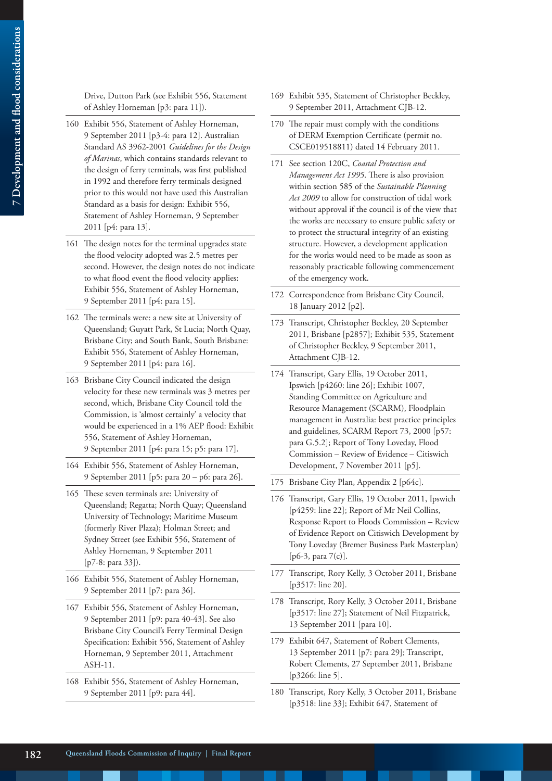Drive, Dutton Park (see Exhibit 556, Statement of Ashley Horneman [p3: para 11]).

- 160 Exhibit 556, Statement of Ashley Horneman, 9 September 2011 [p3-4: para 12]. Australian Standard AS 3962-2001 *Guidelines for the Design of Marinas*, which contains standards relevant to the design of ferry terminals, was first published in 1992 and therefore ferry terminals designed prior to this would not have used this Australian Standard as a basis for design: Exhibit 556, Statement of Ashley Horneman, 9 September 2011 [p4: para 13].
- 161 The design notes for the terminal upgrades state the flood velocity adopted was 2.5 metres per second. However, the design notes do not indicate to what flood event the flood velocity applies: Exhibit 556, Statement of Ashley Horneman, 9 September 2011 [p4: para 15].
- 162 The terminals were: a new site at University of Queensland; Guyatt Park, St Lucia; North Quay, Brisbane City; and South Bank, South Brisbane: Exhibit 556, Statement of Ashley Horneman, 9 September 2011 [p4: para 16].
- 163 Brisbane City Council indicated the design velocity for these new terminals was 3 metres per second, which, Brisbane City Council told the Commission, is 'almost certainly' a velocity that would be experienced in a 1% AEP flood: Exhibit 556, Statement of Ashley Horneman, 9 September 2011 [p4: para 15; p5: para 17].
- 164 Exhibit 556, Statement of Ashley Horneman, 9 September 2011 [p5: para 20 – p6: para 26].
- 165 These seven terminals are: University of Queensland; Regatta; North Quay; Queensland University of Technology; Maritime Museum (formerly River Plaza); Holman Street; and Sydney Street (see Exhibit 556, Statement of Ashley Horneman, 9 September 2011 [p7-8: para 33]).
- 166 Exhibit 556, Statement of Ashley Horneman, 9 September 2011 [p7: para 36].
- 167 Exhibit 556, Statement of Ashley Horneman, 9 September 2011 [p9: para 40-43]. See also Brisbane City Council's Ferry Terminal Design Specification: Exhibit 556, Statement of Ashley Horneman, 9 September 2011, Attachment ASH-11.
- 168 Exhibit 556, Statement of Ashley Horneman, 9 September 2011 [p9: para 44].
- 169 Exhibit 535, Statement of Christopher Beckley, 9 September 2011, Attachment CJB-12.
- 170 The repair must comply with the conditions of DERM Exemption Certificate (permit no. CSCE019518811) dated 14 February 2011.
- 171 See section 120C, *Coastal Protection and Management Act 1995*. There is also provision within section 585 of the *Sustainable Planning Act 2009* to allow for construction of tidal work without approval if the council is of the view that the works are necessary to ensure public safety or to protect the structural integrity of an existing structure. However, a development application for the works would need to be made as soon as reasonably practicable following commencement of the emergency work.
- 172 Correspondence from Brisbane City Council, 18 January 2012 [p2].
- 173 Transcript, Christopher Beckley, 20 September 2011, Brisbane [p2857]; Exhibit 535, Statement of Christopher Beckley, 9 September 2011, Attachment CJB-12.
- 174 Transcript, Gary Ellis, 19 October 2011, Ipswich [p4260: line 26]; Exhibit 1007, Standing Committee on Agriculture and Resource Management (SCARM), Floodplain management in Australia: best practice principles and guidelines, SCARM Report 73, 2000 [p57: para G.5.2]; Report of Tony Loveday, Flood Commission – Review of Evidence – Citiswich Development, 7 November 2011 [p5].
- 175 Brisbane City Plan, Appendix 2 [p64c].
- 176 Transcript, Gary Ellis, 19 October 2011, Ipswich [p4259: line 22]; Report of Mr Neil Collins, Response Report to Floods Commission – Review of Evidence Report on Citiswich Development by Tony Loveday (Bremer Business Park Masterplan) [p6-3, para 7(c)].
- 177 Transcript, Rory Kelly, 3 October 2011, Brisbane [p3517: line 20].
- 178 Transcript, Rory Kelly, 3 October 2011, Brisbane [p3517: line 27]; Statement of Neil Fitzpatrick, 13 September 2011 [para 10].
- 179 Exhibit 647, Statement of Robert Clements, 13 September 2011 [p7: para 29]; Transcript, Robert Clements, 27 September 2011, Brisbane [p3266: line 5].
- 180 Transcript, Rory Kelly, 3 October 2011, Brisbane [p3518: line 33]; Exhibit 647, Statement of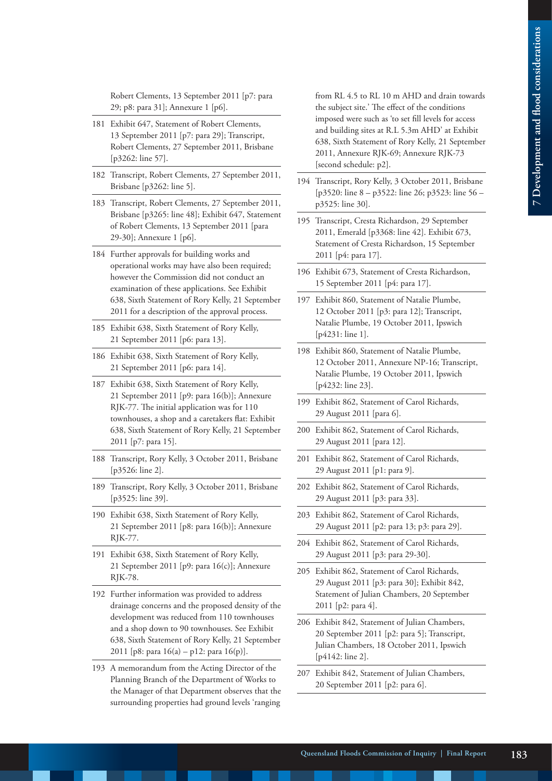Robert Clements, 13 September 2011 [p7: para 29; p8: para 31]; Annexure 1 [p6].

- 181 Exhibit 647, Statement of Robert Clements, 13 September 2011 [p7: para 29]; Transcript, Robert Clements, 27 September 2011, Brisbane [p3262: line 57].
- 182 Transcript, Robert Clements, 27 September 2011, Brisbane [p3262: line 5].
- 183 Transcript, Robert Clements, 27 September 2011, Brisbane [p3265: line 48]; Exhibit 647, Statement of Robert Clements, 13 September 2011 [para 29-30]; Annexure 1 [p6].
- 184 Further approvals for building works and operational works may have also been required; however the Commission did not conduct an examination of these applications. See Exhibit 638, Sixth Statement of Rory Kelly, 21 September 2011 for a description of the approval process.
- 185 Exhibit 638, Sixth Statement of Rory Kelly, 21 September 2011 [p6: para 13].
- 186 Exhibit 638, Sixth Statement of Rory Kelly, 21 September 2011 [p6: para 14].
- 187 Exhibit 638, Sixth Statement of Rory Kelly, 21 September 2011 [p9: para 16(b)]; Annexure RJK-77. The initial application was for 110 townhouses, a shop and a caretakers flat: Exhibit 638, Sixth Statement of Rory Kelly, 21 September 2011 [p7: para 15].
- 188 Transcript, Rory Kelly, 3 October 2011, Brisbane [p3526: line 2].
- 189 Transcript, Rory Kelly, 3 October 2011, Brisbane [p3525: line 39].
- 190 Exhibit 638, Sixth Statement of Rory Kelly, 21 September 2011 [p8: para 16(b)]; Annexure RJK-77.
- 191 Exhibit 638, Sixth Statement of Rory Kelly, 21 September 2011 [p9: para 16(c)]; Annexure RJK-78.
- 192 Further information was provided to address drainage concerns and the proposed density of the development was reduced from 110 townhouses and a shop down to 90 townhouses. See Exhibit 638, Sixth Statement of Rory Kelly, 21 September 2011 [p8: para 16(a) – p12: para 16(p)].
- 193 A memorandum from the Acting Director of the Planning Branch of the Department of Works to the Manager of that Department observes that the surrounding properties had ground levels 'ranging

from RL 4.5 to RL 10 m AHD and drain towards the subject site.' The effect of the conditions imposed were such as 'to set fill levels for access and building sites at R.L 5.3m AHD' at Exhibit 638, Sixth Statement of Rory Kelly, 21 September 2011, Annexure RJK-69; Annexure RJK-73 [second schedule: p2].

- 194 Transcript, Rory Kelly, 3 October 2011, Brisbane [p3520: line 8 – p3522: line 26; p3523: line 56 – p3525: line 30].
- 195 Transcript, Cresta Richardson, 29 September 2011, Emerald [p3368: line 42]. Exhibit 673, Statement of Cresta Richardson, 15 September 2011 [p4: para 17].
- 196 Exhibit 673, Statement of Cresta Richardson, 15 September 2011 [p4: para 17].
- 197 Exhibit 860, Statement of Natalie Plumbe, 12 October 2011 [p3: para 12]; Transcript, Natalie Plumbe, 19 October 2011, Ipswich [p4231: line 1].
- 198 Exhibit 860, Statement of Natalie Plumbe, 12 October 2011, Annexure NP-16; Transcript, Natalie Plumbe, 19 October 2011, Ipswich [p4232: line 23].
- 199 Exhibit 862, Statement of Carol Richards, 29 August 2011 [para 6].
- 200 Exhibit 862, Statement of Carol Richards, 29 August 2011 [para 12].
- 201 Exhibit 862, Statement of Carol Richards, 29 August 2011 [p1: para 9].
- 202 Exhibit 862, Statement of Carol Richards, 29 August 2011 [p3: para 33].
- 203 Exhibit 862, Statement of Carol Richards, 29 August 2011 [p2: para 13; p3: para 29].
- 204 Exhibit 862, Statement of Carol Richards, 29 August 2011 [p3: para 29-30].
- 205 Exhibit 862, Statement of Carol Richards, 29 August 2011 [p3: para 30]; Exhibit 842, Statement of Julian Chambers, 20 September 2011 [p2: para 4].
- 206 Exhibit 842, Statement of Julian Chambers, 20 September 2011 [p2: para 5]; Transcript, Julian Chambers, 18 October 2011, Ipswich [p4142: line 2].
- 207 Exhibit 842, Statement of Julian Chambers, 20 September 2011 [p2: para 6].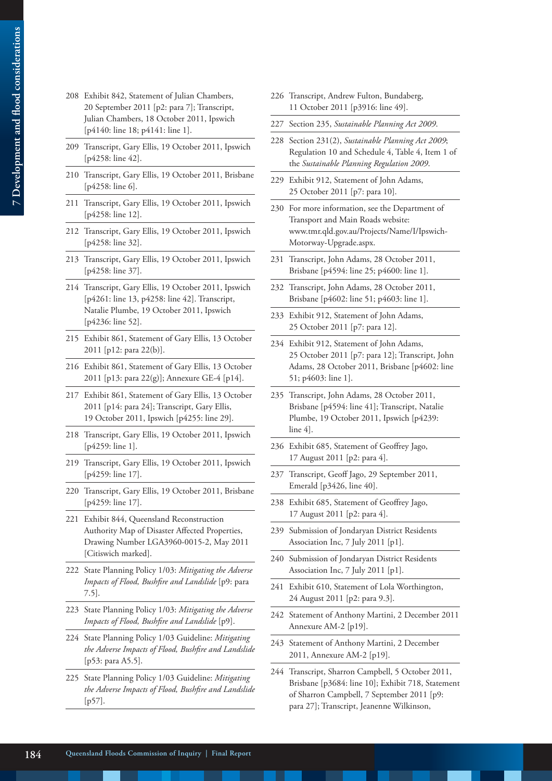- 7 Development and flood considerations **7 Development and flood considerations**
- 208 Exhibit 842, Statement of Julian Chambers, 20 September 2011 [p2: para 7]; Transcript, Julian Chambers, 18 October 2011, Ipswich [p4140: line 18; p4141: line 1].
- 209 Transcript, Gary Ellis, 19 October 2011, Ipswich [p4258: line 42].
- 210 Transcript, Gary Ellis, 19 October 2011, Brisbane [p4258: line 6].
- 211 Transcript, Gary Ellis, 19 October 2011, Ipswich [p4258: line 12].
- 212 Transcript, Gary Ellis, 19 October 2011, Ipswich [p4258: line 32].
- 213 Transcript, Gary Ellis, 19 October 2011, Ipswich [p4258: line 37].
- 214 Transcript, Gary Ellis, 19 October 2011, Ipswich [p4261: line 13, p4258: line 42]. Transcript, Natalie Plumbe, 19 October 2011, Ipswich [p4236: line 52].
- 215 Exhibit 861, Statement of Gary Ellis, 13 October 2011 [p12: para 22(b)].
- 216 Exhibit 861, Statement of Gary Ellis, 13 October 2011 [p13: para 22(g)]; Annexure GE-4 [p14].
- 217 Exhibit 861, Statement of Gary Ellis, 13 October 2011 [p14: para 24]; Transcript, Gary Ellis, 19 October 2011, Ipswich [p4255: line 29].
- 218 Transcript, Gary Ellis, 19 October 2011, Ipswich [p4259: line 1].
- 219 Transcript, Gary Ellis, 19 October 2011, Ipswich [p4259: line 17].
- 220 Transcript, Gary Ellis, 19 October 2011, Brisbane [p4259: line 17].
- 221 Exhibit 844, Queensland Reconstruction Authority Map of Disaster Affected Properties, Drawing Number LGA3960-0015-2, May 2011 [Citiswich marked].
- 222 State Planning Policy 1/03: *Mitigating the Adverse Impacts of Flood, Bushfire and Landslide* [p9: para 7.5].
- 223 State Planning Policy 1/03: *Mitigating the Adverse Impacts of Flood, Bushfire and Landslide* [p9].
- 224 State Planning Policy 1/03 Guideline: *Mitigating the Adverse Impacts of Flood, Bushfire and Landslide* [p53: para A5.5].
- 225 State Planning Policy 1/03 Guideline: *Mitigating the Adverse Impacts of Flood, Bushfire and Landslide* [p57].
- 226 Transcript, Andrew Fulton, Bundaberg, 11 October 2011 [p3916: line 49].
- 227 Section 235, *Sustainable Planning Act 2009*.
- 228 Section 231(2), *Sustainable Planning Act 2009*; Regulation 10 and Schedule 4, Table 4, Item 1 of the *Sustainable Planning Regulation 2009*.
- 229 Exhibit 912, Statement of John Adams, 25 October 2011 [p7: para 10].
- 230 For more information, see the Department of Transport and Main Roads website: www.tmr.qld.gov.au/Projects/Name/I/Ipswich-Motorway-Upgrade.aspx.
- 231 Transcript, John Adams, 28 October 2011, Brisbane [p4594: line 25; p4600: line 1].
- 232 Transcript, John Adams, 28 October 2011, Brisbane [p4602: line 51; p4603: line 1].
- 233 Exhibit 912, Statement of John Adams, 25 October 2011 [p7: para 12].
- 234 Exhibit 912, Statement of John Adams, 25 October 2011 [p7: para 12]; Transcript, John Adams, 28 October 2011, Brisbane [p4602: line 51; p4603: line 1].
- 235 Transcript, John Adams, 28 October 2011, Brisbane [p4594: line 41]; Transcript, Natalie Plumbe, 19 October 2011, Ipswich [p4239: line 4].
- 236 Exhibit 685, Statement of Geoffrey Jago, 17 August 2011 [p2: para 4].
- 237 Transcript, Geoff Jago, 29 September 2011, Emerald [p3426, line 40].
- 238 Exhibit 685, Statement of Geoffrey Jago, 17 August 2011 [p2: para 4].
- 239 Submission of Jondaryan District Residents Association Inc, 7 July 2011 [p1].
- 240 Submission of Jondaryan District Residents Association Inc, 7 July 2011 [p1].
- 241 Exhibit 610, Statement of Lola Worthington, 24 August 2011 [p2: para 9.3].
- 242 Statement of Anthony Martini, 2 December 2011 Annexure AM-2 [p19].
- 243 Statement of Anthony Martini, 2 December 2011, Annexure AM-2 [p19].
- 244 Transcript, Sharron Campbell, 5 October 2011, Brisbane [p3684: line 10]; Exhibit 718, Statement of Sharron Campbell, 7 September 2011 [p9: para 27]; Transcript, Jeanenne Wilkinson,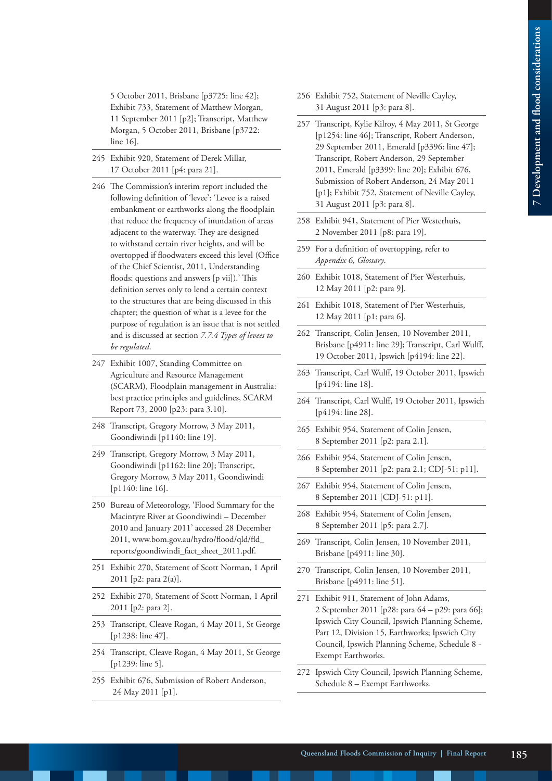5 October 2011, Brisbane [p3725: line 42]; Exhibit 733, Statement of Matthew Morgan, 11 September 2011 [p2]; Transcript, Matthew Morgan, 5 October 2011, Brisbane [p3722: line 16].

- 245 Exhibit 920, Statement of Derek Millar, 17 October 2011 [p4: para 21].
- 246 The Commission's interim report included the following definition of 'levee': 'Levee is a raised embankment or earthworks along the floodplain that reduce the frequency of inundation of areas adjacent to the waterway. They are designed to withstand certain river heights, and will be overtopped if floodwaters exceed this level (Office of the Chief Scientist, 2011, Understanding floods: questions and answers [p vii]).' This definition serves only to lend a certain context to the structures that are being discussed in this chapter; the question of what is a levee for the purpose of regulation is an issue that is not settled and is discussed at section *7.7.4 Types of levees to be regulated*.
- 247 Exhibit 1007, Standing Committee on Agriculture and Resource Management (SCARM), Floodplain management in Australia: best practice principles and guidelines, SCARM Report 73, 2000 [p23: para 3.10].
- 248 Transcript, Gregory Morrow, 3 May 2011, Goondiwindi [p1140: line 19].
- 249 Transcript, Gregory Morrow, 3 May 2011, Goondiwindi [p1162: line 20]; Transcript, Gregory Morrow, 3 May 2011, Goondiwindi [p1140: line 16].
- 250 Bureau of Meteorology, 'Flood Summary for the Macintyre River at Goondiwindi – December 2010 and January 2011' accessed 28 December 2011, www.bom.gov.au/hydro/flood/qld/fld\_ reports/goondiwindi\_fact\_sheet\_2011.pdf.
- 251 Exhibit 270, Statement of Scott Norman, 1 April 2011 [p2: para 2(a)].
- 252 Exhibit 270, Statement of Scott Norman, 1 April 2011 [p2: para 2].
- 253 Transcript, Cleave Rogan, 4 May 2011, St George [p1238: line 47].
- 254 Transcript, Cleave Rogan, 4 May 2011, St George [p1239: line 5].
- 255 Exhibit 676, Submission of Robert Anderson, 24 May 2011 [p1].
- 256 Exhibit 752, Statement of Neville Cayley, 31 August 2011 [p3: para 8].
- 257 Transcript, Kylie Kilroy, 4 May 2011, St George [p1254: line 46]; Transcript, Robert Anderson, 29 September 2011, Emerald [p3396: line 47]; Transcript, Robert Anderson, 29 September 2011, Emerald [p3399: line 20]; Exhibit 676, Submission of Robert Anderson, 24 May 2011 [p1]; Exhibit 752, Statement of Neville Cayley, 31 August 2011 [p3: para 8].
- 258 Exhibit 941, Statement of Pier Westerhuis, 2 November 2011 [p8: para 19].
- 259 For a definition of overtopping, refer to *Appendix 6, Glossary*.
- 260 Exhibit 1018, Statement of Pier Westerhuis, 12 May 2011 [p2: para 9].
- 261 Exhibit 1018, Statement of Pier Westerhuis, 12 May 2011 [p1: para 6].
- 262 Transcript, Colin Jensen, 10 November 2011, Brisbane [p4911: line 29]; Transcript, Carl Wulff, 19 October 2011, Ipswich [p4194: line 22].
- 263 Transcript, Carl Wulff, 19 October 2011, Ipswich [p4194: line 18].
- 264 Transcript, Carl Wulff, 19 October 2011, Ipswich [p4194: line 28].
- 265 Exhibit 954, Statement of Colin Jensen, 8 September 2011 [p2: para 2.1].
- 266 Exhibit 954, Statement of Colin Jensen, 8 September 2011 [p2: para 2.1; CDJ-51: p11].
- 267 Exhibit 954, Statement of Colin Jensen, 8 September 2011 [CDJ-51: p11].
- 268 Exhibit 954, Statement of Colin Jensen, 8 September 2011 [p5: para 2.7].
- 269 Transcript, Colin Jensen, 10 November 2011, Brisbane [p4911: line 30].
- 270 Transcript, Colin Jensen, 10 November 2011, Brisbane [p4911: line 51].
- 271 Exhibit 911, Statement of John Adams, 2 September 2011 [p28: para 64 – p29: para 66]; Ipswich City Council, Ipswich Planning Scheme, Part 12, Division 15, Earthworks; Ipswich City Council, Ipswich Planning Scheme, Schedule 8 - Exempt Earthworks.
- 272 Ipswich City Council, Ipswich Planning Scheme, Schedule 8 – Exempt Earthworks.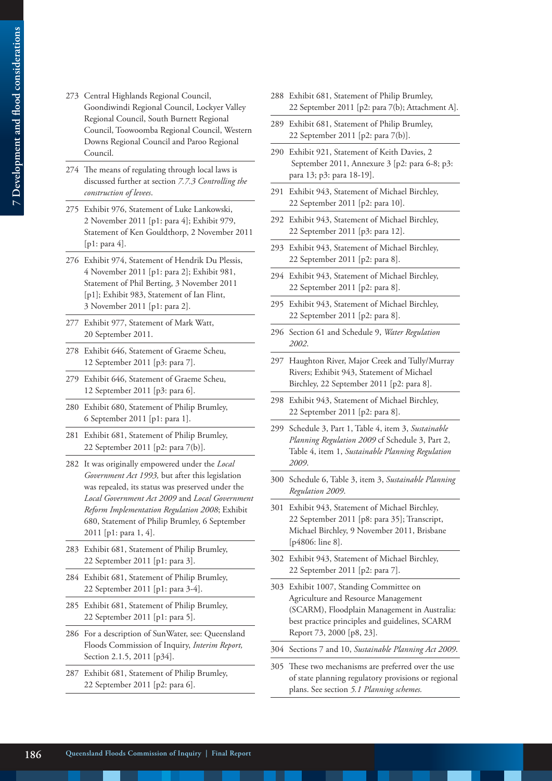- 273 Central Highlands Regional Council, Goondiwindi Regional Council, Lockyer Valley Regional Council, South Burnett Regional Council, Toowoomba Regional Council, Western Downs Regional Council and Paroo Regional Council.
- 274 The means of regulating through local laws is discussed further at section *7.7.3 Controlling the construction of levees*.
- 275 Exhibit 976, Statement of Luke Lankowski, 2 November 2011 [p1: para 4]; Exhibit 979, Statement of Ken Gouldthorp, 2 November 2011 [p1: para 4].
- 276 Exhibit 974, Statement of Hendrik Du Plessis, 4 November 2011 [p1: para 2]; Exhibit 981, Statement of Phil Berting, 3 November 2011 [p1]; Exhibit 983, Statement of Ian Flint, 3 November 2011 [p1: para 2].
- 277 Exhibit 977, Statement of Mark Watt, 20 September 2011.
- 278 Exhibit 646, Statement of Graeme Scheu, 12 September 2011 [p3: para 7].
- 279 Exhibit 646, Statement of Graeme Scheu, 12 September 2011 [p3: para 6].
- 280 Exhibit 680, Statement of Philip Brumley, 6 September 2011 [p1: para 1].
- 281 Exhibit 681, Statement of Philip Brumley, 22 September 2011 [p2: para 7(b)].
- 282 It was originally empowered under the *Local Government Act 1993,* but after this legislation was repealed, its status was preserved under the *Local Government Act 2009* and *Local Government Reform Implementation Regulation 2008*; Exhibit 680, Statement of Philip Brumley, 6 September 2011 [p1: para 1, 4].
- 283 Exhibit 681, Statement of Philip Brumley, 22 September 2011 [p1: para 3].
- 284 Exhibit 681, Statement of Philip Brumley, 22 September 2011 [p1: para 3-4].
- 285 Exhibit 681, Statement of Philip Brumley, 22 September 2011 [p1: para 5].
- 286 For a description of SunWater, see: Queensland Floods Commission of Inquiry, *Interim Report,*  Section 2.1.5, 2011 [p34].
- 287 Exhibit 681, Statement of Philip Brumley, 22 September 2011 [p2: para 6].
- 288 Exhibit 681, Statement of Philip Brumley, 22 September 2011 [p2: para 7(b); Attachment A].
- 289 Exhibit 681, Statement of Philip Brumley, 22 September 2011 [p2: para 7(b)].
- 290 Exhibit 921, Statement of Keith Davies, 2 September 2011, Annexure 3 [p2: para 6-8; p3: para 13; p3: para 18-19].
- 291 Exhibit 943, Statement of Michael Birchley, 22 September 2011 [p2: para 10].
- 292 Exhibit 943, Statement of Michael Birchley, 22 September 2011 [p3: para 12].
- 293 Exhibit 943, Statement of Michael Birchley, 22 September 2011 [p2: para 8].
- 294 Exhibit 943, Statement of Michael Birchley, 22 September 2011 [p2: para 8].
- 295 Exhibit 943, Statement of Michael Birchley, 22 September 2011 [p2: para 8].
- 296 Section 61 and Schedule 9, *Water Regulation 2002*.
- 297 Haughton River, Major Creek and Tully/Murray Rivers; Exhibit 943, Statement of Michael Birchley, 22 September 2011 [p2: para 8].
- 298 Exhibit 943, Statement of Michael Birchley, 22 September 2011 [p2: para 8].
- 299 Schedule 3, Part 1, Table 4, item 3, *Sustainable Planning Regulation 2009* cf Schedule 3, Part 2, Table 4, item 1, *Sustainable Planning Regulation 2009*.
- 300 Schedule 6, Table 3, item 3, *Sustainable Planning Regulation 2009*.
- 301 Exhibit 943, Statement of Michael Birchley, 22 September 2011 [p8: para 35]; Transcript, Michael Birchley, 9 November 2011, Brisbane [p4806: line 8].
- 302 Exhibit 943, Statement of Michael Birchley, 22 September 2011 [p2: para 7].
- 303 Exhibit 1007, Standing Committee on Agriculture and Resource Management (SCARM), Floodplain Management in Australia: best practice principles and guidelines, SCARM Report 73, 2000 [p8, 23].
- 304 Sections 7 and 10, *Sustainable Planning Act 2009*.
- 305 These two mechanisms are preferred over the use of state planning regulatory provisions or regional plans. See section *5.1 Planning schemes.*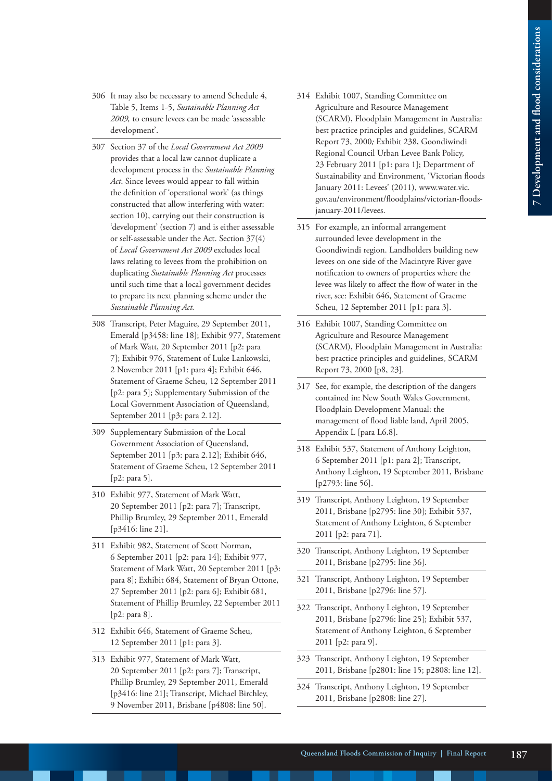- 306 It may also be necessary to amend Schedule 4, Table 5, Items 1-5, *Sustainable Planning Act 2009,* to ensure levees can be made 'assessable development'.
- 307 Section 37 of the *Local Government Act 2009*  provides that a local law cannot duplicate a development process in the *Sustainable Planning Act*. Since levees would appear to fall within the definition of 'operational work' (as things constructed that allow interfering with water: section 10), carrying out their construction is 'development' (section 7) and is either assessable or self-assessable under the Act. Section 37(4) of *Local Government Act 2009* excludes local laws relating to levees from the prohibition on duplicating *Sustainable Planning Act* processes until such time that a local government decides to prepare its next planning scheme under the *Sustainable Planning Act.*
- 308 Transcript, Peter Maguire, 29 September 2011, Emerald [p3458: line 18]; Exhibit 977, Statement of Mark Watt, 20 September 2011 [p2: para 7]; Exhibit 976, Statement of Luke Lankowski, 2 November 2011 [p1: para 4]; Exhibit 646, Statement of Graeme Scheu, 12 September 2011 [p2: para 5]; Supplementary Submission of the Local Government Association of Queensland, September 2011 [p3: para 2.12].
- 309 Supplementary Submission of the Local Government Association of Queensland, September 2011 [p3: para 2.12]; Exhibit 646, Statement of Graeme Scheu, 12 September 2011 [p2: para 5].
- 310 Exhibit 977, Statement of Mark Watt, 20 September 2011 [p2: para 7]; Transcript, Phillip Brumley, 29 September 2011, Emerald [p3416: line 21].
- 311 Exhibit 982, Statement of Scott Norman, 6 September 2011 [p2: para 14]; Exhibit 977, Statement of Mark Watt, 20 September 2011 [p3: para 8]; Exhibit 684, Statement of Bryan Ottone, 27 September 2011 [p2: para 6]; Exhibit 681, Statement of Phillip Brumley, 22 September 2011 [p2: para 8].
- 312 Exhibit 646, Statement of Graeme Scheu, 12 September 2011 [p1: para 3].
- 313 Exhibit 977, Statement of Mark Watt, 20 September 2011 [p2: para 7]; Transcript, Phillip Brumley, 29 September 2011, Emerald [p3416: line 21]; Transcript, Michael Birchley, 9 November 2011, Brisbane [p4808: line 50].
- 314 Exhibit 1007, Standing Committee on Agriculture and Resource Management (SCARM), Floodplain Management in Australia: best practice principles and guidelines, SCARM Report 73, 2000*;* Exhibit 238, Goondiwindi Regional Council Urban Levee Bank Policy, 23 February 2011 [p1: para 1]; Department of Sustainability and Environment, 'Victorian floods January 2011: Levees' (2011), www.water.vic. gov.au/environment/floodplains/victorian-floodsjanuary-2011/levees.
- 315 For example, an informal arrangement surrounded levee development in the Goondiwindi region. Landholders building new levees on one side of the Macintyre River gave notification to owners of properties where the levee was likely to affect the flow of water in the river, see: Exhibit 646, Statement of Graeme Scheu, 12 September 2011 [p1: para 3].
- 316 Exhibit 1007, Standing Committee on Agriculture and Resource Management (SCARM), Floodplain Management in Australia: best practice principles and guidelines, SCARM Report 73, 2000 [p8, 23].
- 317 See, for example, the description of the dangers contained in: New South Wales Government, Floodplain Development Manual: the management of flood liable land, April 2005, Appendix L [para L6.8].
- 318 Exhibit 537, Statement of Anthony Leighton, 6 September 2011 [p1: para 2]; Transcript, Anthony Leighton, 19 September 2011, Brisbane [p2793: line 56].
- 319 Transcript, Anthony Leighton, 19 September 2011, Brisbane [p2795: line 30]; Exhibit 537, Statement of Anthony Leighton, 6 September 2011 [p2: para 71].
- 320 Transcript, Anthony Leighton, 19 September 2011, Brisbane [p2795: line 36].
- 321 Transcript, Anthony Leighton, 19 September 2011, Brisbane [p2796: line 57].
- 322 Transcript, Anthony Leighton, 19 September 2011, Brisbane [p2796: line 25]; Exhibit 537, Statement of Anthony Leighton, 6 September 2011 [p2: para 9].
- 323 Transcript, Anthony Leighton, 19 September 2011, Brisbane [p2801: line 15; p2808: line 12].
- 324 Transcript, Anthony Leighton, 19 September 2011, Brisbane [p2808: line 27].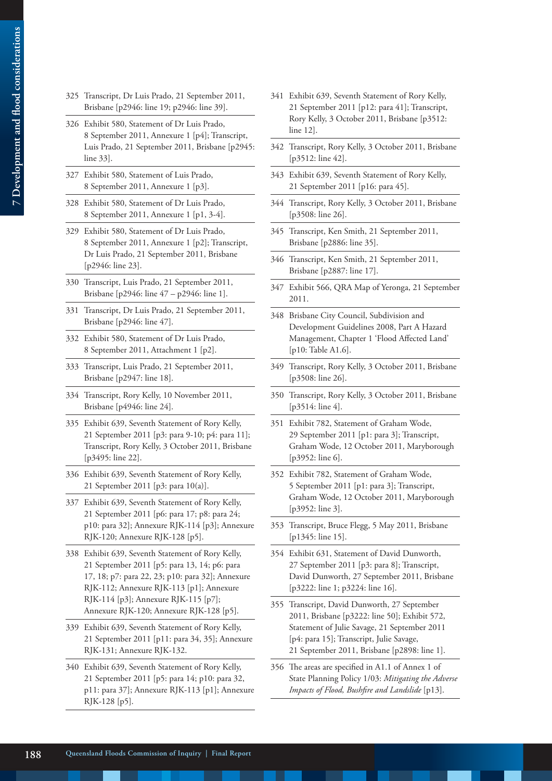- 325 Transcript, Dr Luis Prado, 21 September 2011, Brisbane [p2946: line 19; p2946: line 39].
- 326 Exhibit 580, Statement of Dr Luis Prado, 8 September 2011, Annexure 1 [p4]; Transcript, Luis Prado, 21 September 2011, Brisbane [p2945: line 33].
- 327 Exhibit 580, Statement of Luis Prado, 8 September 2011, Annexure 1 [p3].
- 328 Exhibit 580, Statement of Dr Luis Prado, 8 September 2011, Annexure 1 [p1, 3-4].
- 329 Exhibit 580, Statement of Dr Luis Prado, 8 September 2011, Annexure 1 [p2]; Transcript, Dr Luis Prado, 21 September 2011, Brisbane [p2946: line 23].
- 330 Transcript, Luis Prado, 21 September 2011, Brisbane [p2946: line 47 – p2946: line 1].
- 331 Transcript, Dr Luis Prado, 21 September 2011, Brisbane [p2946: line 47].
- 332 Exhibit 580, Statement of Dr Luis Prado, 8 September 2011, Attachment 1 [p2].
- 333 Transcript, Luis Prado, 21 September 2011, Brisbane [p2947: line 18].
- 334 Transcript, Rory Kelly, 10 November 2011, Brisbane [p4946: line 24].
- 335 Exhibit 639, Seventh Statement of Rory Kelly, 21 September 2011 [p3: para 9-10; p4: para 11]; Transcript, Rory Kelly, 3 October 2011, Brisbane [p3495: line 22].
- 336 Exhibit 639, Seventh Statement of Rory Kelly, 21 September 2011 [p3: para 10(a)].
- 337 Exhibit 639, Seventh Statement of Rory Kelly, 21 September 2011 [p6: para 17; p8: para 24; p10: para 32]; Annexure RJK-114 [p3]; Annexure RJK-120; Annexure RJK-128 [p5].
- 338 Exhibit 639, Seventh Statement of Rory Kelly, 21 September 2011 [p5: para 13, 14; p6: para 17, 18; p7: para 22, 23; p10: para 32]; Annexure RJK-112; Annexure RJK-113 [p1]; Annexure RJK-114 [p3]; Annexure RJK-115 [p7]; Annexure RJK-120; Annexure RJK-128 [p5].
- 339 Exhibit 639, Seventh Statement of Rory Kelly, 21 September 2011 [p11: para 34, 35]; Annexure RJK-131; Annexure RJK-132.
- 340 Exhibit 639, Seventh Statement of Rory Kelly, 21 September 2011 [p5: para 14; p10: para 32, p11: para 37]; Annexure RJK-113 [p1]; Annexure RJK-128 [p5].
- 341 Exhibit 639, Seventh Statement of Rory Kelly, 21 September 2011 [p12: para 41]; Transcript, Rory Kelly, 3 October 2011, Brisbane [p3512: line 12].
- 342 Transcript, Rory Kelly, 3 October 2011, Brisbane [p3512: line 42].
- 343 Exhibit 639, Seventh Statement of Rory Kelly, 21 September 2011 [p16: para 45].
- 344 Transcript, Rory Kelly, 3 October 2011, Brisbane [p3508: line 26].
- 345 Transcript, Ken Smith, 21 September 2011, Brisbane [p2886: line 35].
- 346 Transcript, Ken Smith, 21 September 2011, Brisbane [p2887: line 17].
- 347 Exhibit 566, QRA Map of Yeronga, 21 September 2011.
- 348 Brisbane City Council, Subdivision and Development Guidelines 2008, Part A Hazard Management, Chapter 1 'Flood Affected Land' [p10: Table A1.6].
- 349 Transcript, Rory Kelly, 3 October 2011, Brisbane [p3508: line 26].
- 350 Transcript, Rory Kelly, 3 October 2011, Brisbane [p3514: line 4].
- 351 Exhibit 782, Statement of Graham Wode, 29 September 2011 [p1: para 3]; Transcript, Graham Wode, 12 October 2011, Maryborough [p3952: line 6].
- 352 Exhibit 782, Statement of Graham Wode, 5 September 2011 [p1: para 3]; Transcript, Graham Wode, 12 October 2011, Maryborough [p3952: line 3].
- 353 Transcript, Bruce Flegg, 5 May 2011, Brisbane [p1345: line 15].
- 354 Exhibit 631, Statement of David Dunworth, 27 September 2011 [p3: para 8]; Transcript, David Dunworth, 27 September 2011, Brisbane [p3222: line 1; p3224: line 16].
- 355 Transcript, David Dunworth, 27 September 2011, Brisbane [p3222: line 50]; Exhibit 572, Statement of Julie Savage, 21 September 2011 [p4: para 15]; Transcript, Julie Savage, 21 September 2011, Brisbane [p2898: line 1].
- 356 The areas are specified in A1.1 of Annex 1 of State Planning Policy 1/03: *Mitigating the Adverse Impacts of Flood, Bushfire and Landslide* [p13].